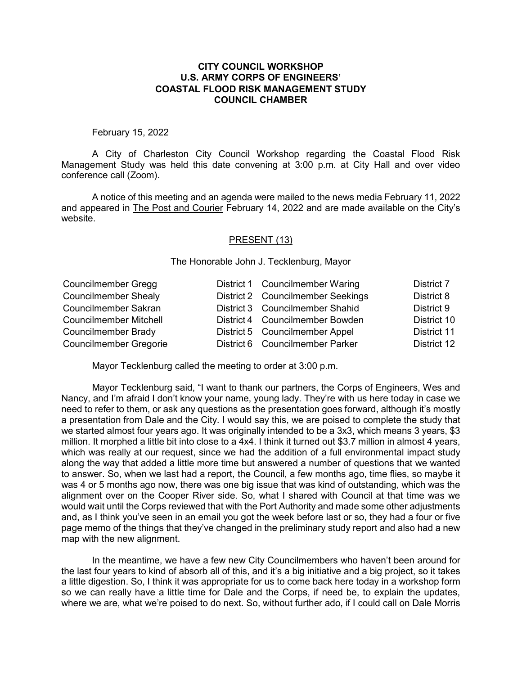## **CITY COUNCIL WORKSHOP U.S. ARMY CORPS OF ENGINEERS' COASTAL FLOOD RISK MANAGEMENT STUDY COUNCIL CHAMBER**

## February 15, 2022

A City of Charleston City Council Workshop regarding the Coastal Flood Risk Management Study was held this date convening at 3:00 p.m. at City Hall and over video conference call (Zoom).

A notice of this meeting and an agenda were mailed to the news media February 11, 2022 and appeared in The Post and Courier February 14, 2022 and are made available on the City's website.

## PRESENT (13)

The Honorable John J. Tecklenburg, Mayor

| <b>Councilmember Gregg</b>    | District 1 Councilmember Waring   | District 7  |
|-------------------------------|-----------------------------------|-------------|
| <b>Councilmember Shealy</b>   | District 2 Councilmember Seekings | District 8  |
| Councilmember Sakran          | District 3 Councilmember Shahid   | District 9  |
| <b>Councilmember Mitchell</b> | District 4 Councilmember Bowden   | District 10 |
| Councilmember Brady           | District 5 Councilmember Appel    | District 11 |
| <b>Councilmember Gregorie</b> | District 6 Councilmember Parker   | District 12 |

Mayor Tecklenburg called the meeting to order at 3:00 p.m.

Mayor Tecklenburg said, "I want to thank our partners, the Corps of Engineers, Wes and Nancy, and I'm afraid I don't know your name, young lady. They're with us here today in case we need to refer to them, or ask any questions as the presentation goes forward, although it's mostly a presentation from Dale and the City. I would say this, we are poised to complete the study that we started almost four years ago. It was originally intended to be a 3x3, which means 3 years, \$3 million. It morphed a little bit into close to a 4x4. I think it turned out \$3.7 million in almost 4 years, which was really at our request, since we had the addition of a full environmental impact study along the way that added a little more time but answered a number of questions that we wanted to answer. So, when we last had a report, the Council, a few months ago, time flies, so maybe it was 4 or 5 months ago now, there was one big issue that was kind of outstanding, which was the alignment over on the Cooper River side. So, what I shared with Council at that time was we would wait until the Corps reviewed that with the Port Authority and made some other adjustments and, as I think you've seen in an email you got the week before last or so, they had a four or five page memo of the things that they've changed in the preliminary study report and also had a new map with the new alignment.

In the meantime, we have a few new City Councilmembers who haven't been around for the last four years to kind of absorb all of this, and it's a big initiative and a big project, so it takes a little digestion. So, I think it was appropriate for us to come back here today in a workshop form so we can really have a little time for Dale and the Corps, if need be, to explain the updates, where we are, what we're poised to do next. So, without further ado, if I could call on Dale Morris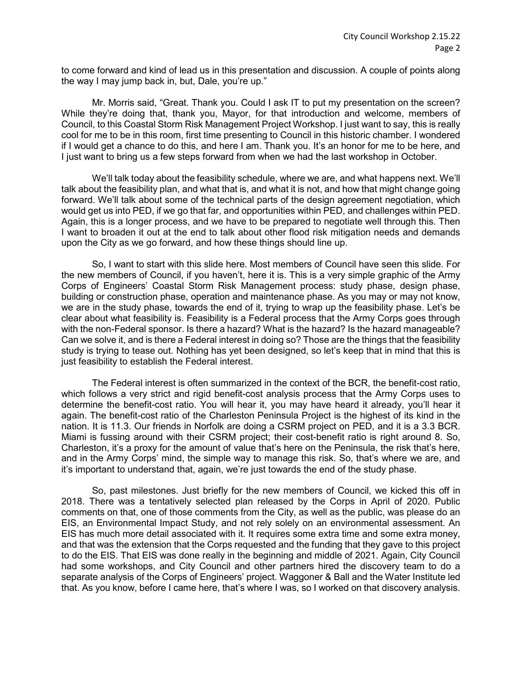to come forward and kind of lead us in this presentation and discussion. A couple of points along the way I may jump back in, but, Dale, you're up."

Mr. Morris said, "Great. Thank you. Could I ask IT to put my presentation on the screen? While they're doing that, thank you, Mayor, for that introduction and welcome, members of Council, to this Coastal Storm Risk Management Project Workshop. I just want to say, this is really cool for me to be in this room, first time presenting to Council in this historic chamber. I wondered if I would get a chance to do this, and here I am. Thank you. It's an honor for me to be here, and I just want to bring us a few steps forward from when we had the last workshop in October.

We'll talk today about the feasibility schedule, where we are, and what happens next. We'll talk about the feasibility plan, and what that is, and what it is not, and how that might change going forward. We'll talk about some of the technical parts of the design agreement negotiation, which would get us into PED, if we go that far, and opportunities within PED, and challenges within PED. Again, this is a longer process, and we have to be prepared to negotiate well through this. Then I want to broaden it out at the end to talk about other flood risk mitigation needs and demands upon the City as we go forward, and how these things should line up.

So, I want to start with this slide here. Most members of Council have seen this slide. For the new members of Council, if you haven't, here it is. This is a very simple graphic of the Army Corps of Engineers' Coastal Storm Risk Management process: study phase, design phase, building or construction phase, operation and maintenance phase. As you may or may not know, we are in the study phase, towards the end of it, trying to wrap up the feasibility phase. Let's be clear about what feasibility is. Feasibility is a Federal process that the Army Corps goes through with the non-Federal sponsor. Is there a hazard? What is the hazard? Is the hazard manageable? Can we solve it, and is there a Federal interest in doing so? Those are the things that the feasibility study is trying to tease out. Nothing has yet been designed, so let's keep that in mind that this is just feasibility to establish the Federal interest.

The Federal interest is often summarized in the context of the BCR, the benefit-cost ratio, which follows a very strict and rigid benefit-cost analysis process that the Army Corps uses to determine the benefit-cost ratio. You will hear it, you may have heard it already, you'll hear it again. The benefit-cost ratio of the Charleston Peninsula Project is the highest of its kind in the nation. It is 11.3. Our friends in Norfolk are doing a CSRM project on PED, and it is a 3.3 BCR. Miami is fussing around with their CSRM project; their cost-benefit ratio is right around 8. So, Charleston, it's a proxy for the amount of value that's here on the Peninsula, the risk that's here, and in the Army Corps' mind, the simple way to manage this risk. So, that's where we are, and it's important to understand that, again, we're just towards the end of the study phase.

So, past milestones. Just briefly for the new members of Council, we kicked this off in 2018. There was a tentatively selected plan released by the Corps in April of 2020. Public comments on that, one of those comments from the City, as well as the public, was please do an EIS, an Environmental Impact Study, and not rely solely on an environmental assessment. An EIS has much more detail associated with it. It requires some extra time and some extra money, and that was the extension that the Corps requested and the funding that they gave to this project to do the EIS. That EIS was done really in the beginning and middle of 2021. Again, City Council had some workshops, and City Council and other partners hired the discovery team to do a separate analysis of the Corps of Engineers' project. Waggoner & Ball and the Water Institute led that. As you know, before I came here, that's where I was, so I worked on that discovery analysis.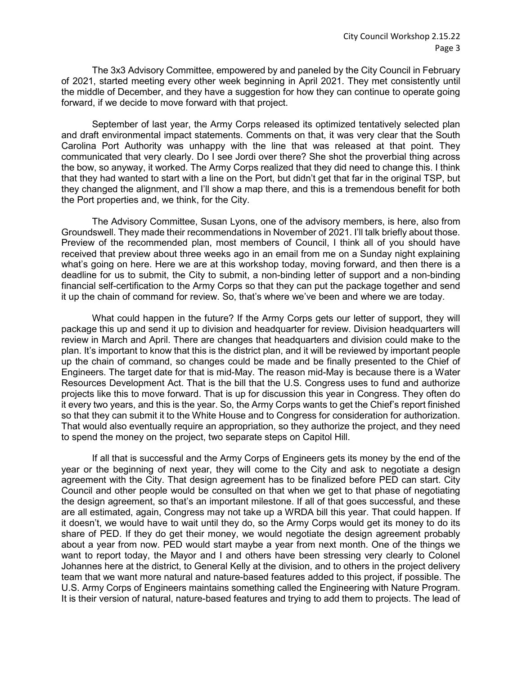The 3x3 Advisory Committee, empowered by and paneled by the City Council in February of 2021, started meeting every other week beginning in April 2021. They met consistently until the middle of December, and they have a suggestion for how they can continue to operate going forward, if we decide to move forward with that project.

September of last year, the Army Corps released its optimized tentatively selected plan and draft environmental impact statements. Comments on that, it was very clear that the South Carolina Port Authority was unhappy with the line that was released at that point. They communicated that very clearly. Do I see Jordi over there? She shot the proverbial thing across the bow, so anyway, it worked. The Army Corps realized that they did need to change this. I think that they had wanted to start with a line on the Port, but didn't get that far in the original TSP, but they changed the alignment, and I'll show a map there, and this is a tremendous benefit for both the Port properties and, we think, for the City.

The Advisory Committee, Susan Lyons, one of the advisory members, is here, also from Groundswell. They made their recommendations in November of 2021. I'll talk briefly about those. Preview of the recommended plan, most members of Council, I think all of you should have received that preview about three weeks ago in an email from me on a Sunday night explaining what's going on here. Here we are at this workshop today, moving forward, and then there is a deadline for us to submit, the City to submit, a non-binding letter of support and a non-binding financial self-certification to the Army Corps so that they can put the package together and send it up the chain of command for review. So, that's where we've been and where we are today.

What could happen in the future? If the Army Corps gets our letter of support, they will package this up and send it up to division and headquarter for review. Division headquarters will review in March and April. There are changes that headquarters and division could make to the plan. It's important to know that this is the district plan, and it will be reviewed by important people up the chain of command, so changes could be made and be finally presented to the Chief of Engineers. The target date for that is mid-May. The reason mid-May is because there is a Water Resources Development Act. That is the bill that the U.S. Congress uses to fund and authorize projects like this to move forward. That is up for discussion this year in Congress. They often do it every two years, and this is the year. So, the Army Corps wants to get the Chief's report finished so that they can submit it to the White House and to Congress for consideration for authorization. That would also eventually require an appropriation, so they authorize the project, and they need to spend the money on the project, two separate steps on Capitol Hill.

If all that is successful and the Army Corps of Engineers gets its money by the end of the year or the beginning of next year, they will come to the City and ask to negotiate a design agreement with the City. That design agreement has to be finalized before PED can start. City Council and other people would be consulted on that when we get to that phase of negotiating the design agreement, so that's an important milestone. If all of that goes successful, and these are all estimated, again, Congress may not take up a WRDA bill this year. That could happen. If it doesn't, we would have to wait until they do, so the Army Corps would get its money to do its share of PED. If they do get their money, we would negotiate the design agreement probably about a year from now. PED would start maybe a year from next month. One of the things we want to report today, the Mayor and I and others have been stressing very clearly to Colonel Johannes here at the district, to General Kelly at the division, and to others in the project delivery team that we want more natural and nature-based features added to this project, if possible. The U.S. Army Corps of Engineers maintains something called the Engineering with Nature Program. It is their version of natural, nature-based features and trying to add them to projects. The lead of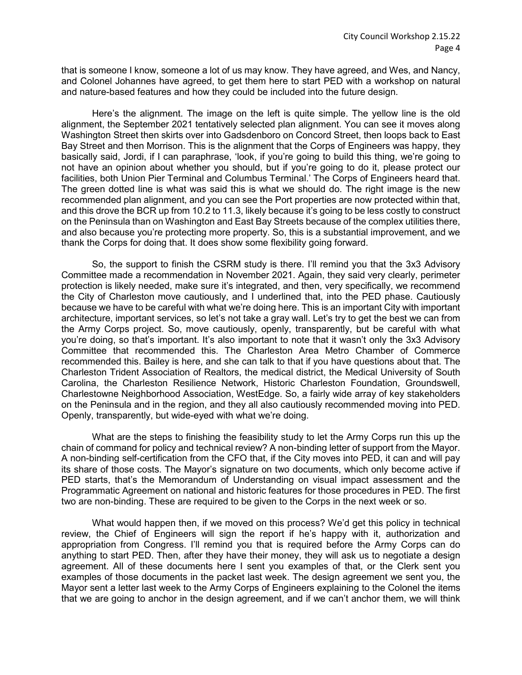that is someone I know, someone a lot of us may know. They have agreed, and Wes, and Nancy, and Colonel Johannes have agreed, to get them here to start PED with a workshop on natural and nature-based features and how they could be included into the future design.

Here's the alignment. The image on the left is quite simple. The yellow line is the old alignment, the September 2021 tentatively selected plan alignment. You can see it moves along Washington Street then skirts over into Gadsdenboro on Concord Street, then loops back to East Bay Street and then Morrison. This is the alignment that the Corps of Engineers was happy, they basically said, Jordi, if I can paraphrase, 'look, if you're going to build this thing, we're going to not have an opinion about whether you should, but if you're going to do it, please protect our facilities, both Union Pier Terminal and Columbus Terminal.' The Corps of Engineers heard that. The green dotted line is what was said this is what we should do. The right image is the new recommended plan alignment, and you can see the Port properties are now protected within that, and this drove the BCR up from 10.2 to 11.3, likely because it's going to be less costly to construct on the Peninsula than on Washington and East Bay Streets because of the complex utilities there, and also because you're protecting more property. So, this is a substantial improvement, and we thank the Corps for doing that. It does show some flexibility going forward.

So, the support to finish the CSRM study is there. I'll remind you that the 3x3 Advisory Committee made a recommendation in November 2021. Again, they said very clearly, perimeter protection is likely needed, make sure it's integrated, and then, very specifically, we recommend the City of Charleston move cautiously, and I underlined that, into the PED phase. Cautiously because we have to be careful with what we're doing here. This is an important City with important architecture, important services, so let's not take a gray wall. Let's try to get the best we can from the Army Corps project. So, move cautiously, openly, transparently, but be careful with what you're doing, so that's important. It's also important to note that it wasn't only the 3x3 Advisory Committee that recommended this. The Charleston Area Metro Chamber of Commerce recommended this. Bailey is here, and she can talk to that if you have questions about that. The Charleston Trident Association of Realtors, the medical district, the Medical University of South Carolina, the Charleston Resilience Network, Historic Charleston Foundation, Groundswell, Charlestowne Neighborhood Association, WestEdge. So, a fairly wide array of key stakeholders on the Peninsula and in the region, and they all also cautiously recommended moving into PED. Openly, transparently, but wide-eyed with what we're doing.

What are the steps to finishing the feasibility study to let the Army Corps run this up the chain of command for policy and technical review? A non-binding letter of support from the Mayor. A non-binding self-certification from the CFO that, if the City moves into PED, it can and will pay its share of those costs. The Mayor's signature on two documents, which only become active if PED starts, that's the Memorandum of Understanding on visual impact assessment and the Programmatic Agreement on national and historic features for those procedures in PED. The first two are non-binding. These are required to be given to the Corps in the next week or so.

What would happen then, if we moved on this process? We'd get this policy in technical review, the Chief of Engineers will sign the report if he's happy with it, authorization and appropriation from Congress. I'll remind you that is required before the Army Corps can do anything to start PED. Then, after they have their money, they will ask us to negotiate a design agreement. All of these documents here I sent you examples of that, or the Clerk sent you examples of those documents in the packet last week. The design agreement we sent you, the Mayor sent a letter last week to the Army Corps of Engineers explaining to the Colonel the items that we are going to anchor in the design agreement, and if we can't anchor them, we will think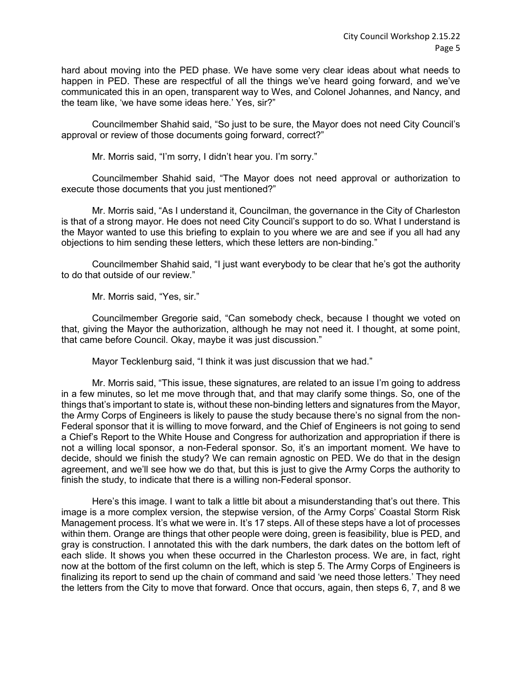hard about moving into the PED phase. We have some very clear ideas about what needs to happen in PED. These are respectful of all the things we've heard going forward, and we've communicated this in an open, transparent way to Wes, and Colonel Johannes, and Nancy, and the team like, 'we have some ideas here.' Yes, sir?"

Councilmember Shahid said, "So just to be sure, the Mayor does not need City Council's approval or review of those documents going forward, correct?"

Mr. Morris said, "I'm sorry, I didn't hear you. I'm sorry."

Councilmember Shahid said, "The Mayor does not need approval or authorization to execute those documents that you just mentioned?"

Mr. Morris said, "As I understand it, Councilman, the governance in the City of Charleston is that of a strong mayor. He does not need City Council's support to do so. What I understand is the Mayor wanted to use this briefing to explain to you where we are and see if you all had any objections to him sending these letters, which these letters are non-binding."

Councilmember Shahid said, "I just want everybody to be clear that he's got the authority to do that outside of our review."

Mr. Morris said, "Yes, sir."

Councilmember Gregorie said, "Can somebody check, because I thought we voted on that, giving the Mayor the authorization, although he may not need it. I thought, at some point, that came before Council. Okay, maybe it was just discussion."

Mayor Tecklenburg said, "I think it was just discussion that we had."

Mr. Morris said, "This issue, these signatures, are related to an issue I'm going to address in a few minutes, so let me move through that, and that may clarify some things. So, one of the things that's important to state is, without these non-binding letters and signatures from the Mayor, the Army Corps of Engineers is likely to pause the study because there's no signal from the non-Federal sponsor that it is willing to move forward, and the Chief of Engineers is not going to send a Chief's Report to the White House and Congress for authorization and appropriation if there is not a willing local sponsor, a non-Federal sponsor. So, it's an important moment. We have to decide, should we finish the study? We can remain agnostic on PED. We do that in the design agreement, and we'll see how we do that, but this is just to give the Army Corps the authority to finish the study, to indicate that there is a willing non-Federal sponsor.

Here's this image. I want to talk a little bit about a misunderstanding that's out there. This image is a more complex version, the stepwise version, of the Army Corps' Coastal Storm Risk Management process. It's what we were in. It's 17 steps. All of these steps have a lot of processes within them. Orange are things that other people were doing, green is feasibility, blue is PED, and gray is construction. I annotated this with the dark numbers, the dark dates on the bottom left of each slide. It shows you when these occurred in the Charleston process. We are, in fact, right now at the bottom of the first column on the left, which is step 5. The Army Corps of Engineers is finalizing its report to send up the chain of command and said 'we need those letters.' They need the letters from the City to move that forward. Once that occurs, again, then steps 6, 7, and 8 we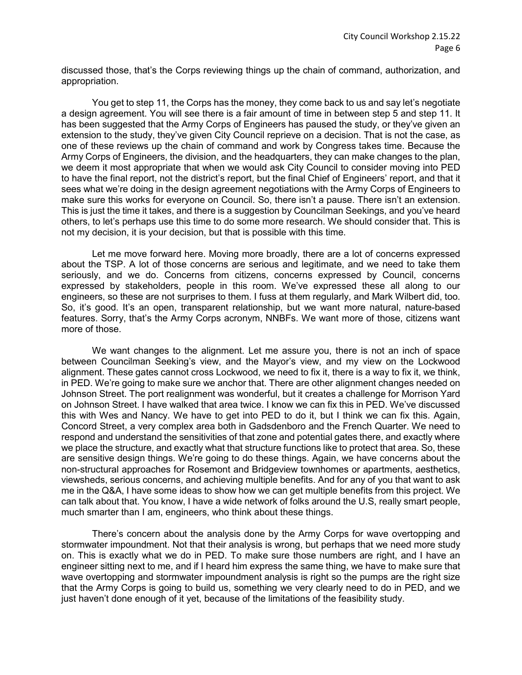discussed those, that's the Corps reviewing things up the chain of command, authorization, and appropriation.

You get to step 11, the Corps has the money, they come back to us and say let's negotiate a design agreement. You will see there is a fair amount of time in between step 5 and step 11. It has been suggested that the Army Corps of Engineers has paused the study, or they've given an extension to the study, they've given City Council reprieve on a decision. That is not the case, as one of these reviews up the chain of command and work by Congress takes time. Because the Army Corps of Engineers, the division, and the headquarters, they can make changes to the plan, we deem it most appropriate that when we would ask City Council to consider moving into PED to have the final report, not the district's report, but the final Chief of Engineers' report, and that it sees what we're doing in the design agreement negotiations with the Army Corps of Engineers to make sure this works for everyone on Council. So, there isn't a pause. There isn't an extension. This is just the time it takes, and there is a suggestion by Councilman Seekings, and you've heard others, to let's perhaps use this time to do some more research. We should consider that. This is not my decision, it is your decision, but that is possible with this time.

Let me move forward here. Moving more broadly, there are a lot of concerns expressed about the TSP. A lot of those concerns are serious and legitimate, and we need to take them seriously, and we do. Concerns from citizens, concerns expressed by Council, concerns expressed by stakeholders, people in this room. We've expressed these all along to our engineers, so these are not surprises to them. I fuss at them regularly, and Mark Wilbert did, too. So, it's good. It's an open, transparent relationship, but we want more natural, nature-based features. Sorry, that's the Army Corps acronym, NNBFs. We want more of those, citizens want more of those.

We want changes to the alignment. Let me assure you, there is not an inch of space between Councilman Seeking's view, and the Mayor's view, and my view on the Lockwood alignment. These gates cannot cross Lockwood, we need to fix it, there is a way to fix it, we think, in PED. We're going to make sure we anchor that. There are other alignment changes needed on Johnson Street. The port realignment was wonderful, but it creates a challenge for Morrison Yard on Johnson Street. I have walked that area twice. I know we can fix this in PED. We've discussed this with Wes and Nancy. We have to get into PED to do it, but I think we can fix this. Again, Concord Street, a very complex area both in Gadsdenboro and the French Quarter. We need to respond and understand the sensitivities of that zone and potential gates there, and exactly where we place the structure, and exactly what that structure functions like to protect that area. So, these are sensitive design things. We're going to do these things. Again, we have concerns about the non-structural approaches for Rosemont and Bridgeview townhomes or apartments, aesthetics, viewsheds, serious concerns, and achieving multiple benefits. And for any of you that want to ask me in the Q&A, I have some ideas to show how we can get multiple benefits from this project. We can talk about that. You know, I have a wide network of folks around the U.S, really smart people, much smarter than I am, engineers, who think about these things.

There's concern about the analysis done by the Army Corps for wave overtopping and stormwater impoundment. Not that their analysis is wrong, but perhaps that we need more study on. This is exactly what we do in PED. To make sure those numbers are right, and I have an engineer sitting next to me, and if I heard him express the same thing, we have to make sure that wave overtopping and stormwater impoundment analysis is right so the pumps are the right size that the Army Corps is going to build us, something we very clearly need to do in PED, and we just haven't done enough of it yet, because of the limitations of the feasibility study.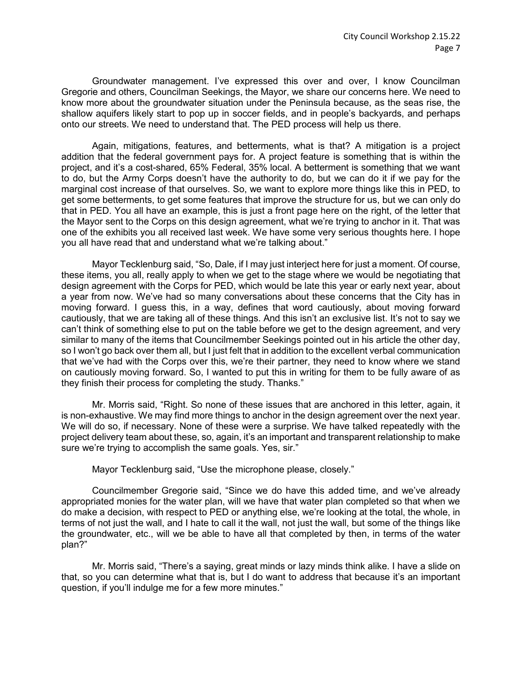Groundwater management. I've expressed this over and over, I know Councilman Gregorie and others, Councilman Seekings, the Mayor, we share our concerns here. We need to know more about the groundwater situation under the Peninsula because, as the seas rise, the shallow aquifers likely start to pop up in soccer fields, and in people's backyards, and perhaps onto our streets. We need to understand that. The PED process will help us there.

Again, mitigations, features, and betterments, what is that? A mitigation is a project addition that the federal government pays for. A project feature is something that is within the project, and it's a cost-shared, 65% Federal, 35% local. A betterment is something that we want to do, but the Army Corps doesn't have the authority to do, but we can do it if we pay for the marginal cost increase of that ourselves. So, we want to explore more things like this in PED, to get some betterments, to get some features that improve the structure for us, but we can only do that in PED. You all have an example, this is just a front page here on the right, of the letter that the Mayor sent to the Corps on this design agreement, what we're trying to anchor in it. That was one of the exhibits you all received last week. We have some very serious thoughts here. I hope you all have read that and understand what we're talking about."

Mayor Tecklenburg said, "So, Dale, if I may just interject here for just a moment. Of course, these items, you all, really apply to when we get to the stage where we would be negotiating that design agreement with the Corps for PED, which would be late this year or early next year, about a year from now. We've had so many conversations about these concerns that the City has in moving forward. I guess this, in a way, defines that word cautiously, about moving forward cautiously, that we are taking all of these things. And this isn't an exclusive list. It's not to say we can't think of something else to put on the table before we get to the design agreement, and very similar to many of the items that Councilmember Seekings pointed out in his article the other day, so I won't go back over them all, but I just felt that in addition to the excellent verbal communication that we've had with the Corps over this, we're their partner, they need to know where we stand on cautiously moving forward. So, I wanted to put this in writing for them to be fully aware of as they finish their process for completing the study. Thanks."

Mr. Morris said, "Right. So none of these issues that are anchored in this letter, again, it is non-exhaustive. We may find more things to anchor in the design agreement over the next year. We will do so, if necessary. None of these were a surprise. We have talked repeatedly with the project delivery team about these, so, again, it's an important and transparent relationship to make sure we're trying to accomplish the same goals. Yes, sir."

Mayor Tecklenburg said, "Use the microphone please, closely."

Councilmember Gregorie said, "Since we do have this added time, and we've already appropriated monies for the water plan, will we have that water plan completed so that when we do make a decision, with respect to PED or anything else, we're looking at the total, the whole, in terms of not just the wall, and I hate to call it the wall, not just the wall, but some of the things like the groundwater, etc., will we be able to have all that completed by then, in terms of the water plan?"

Mr. Morris said, "There's a saying, great minds or lazy minds think alike. I have a slide on that, so you can determine what that is, but I do want to address that because it's an important question, if you'll indulge me for a few more minutes."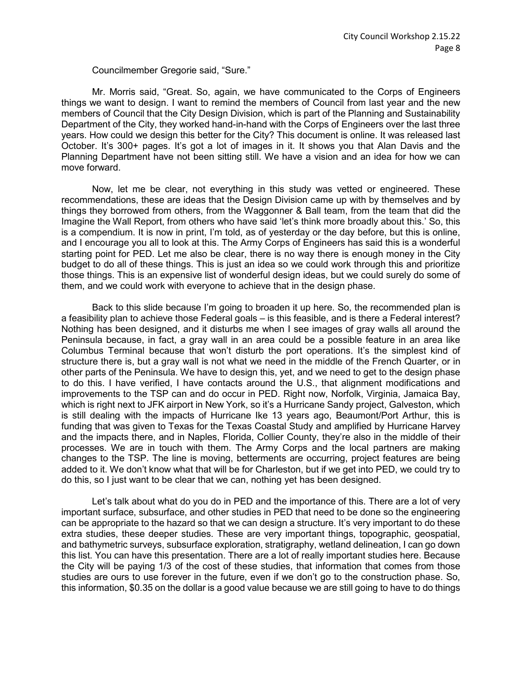Councilmember Gregorie said, "Sure."

Mr. Morris said, "Great. So, again, we have communicated to the Corps of Engineers things we want to design. I want to remind the members of Council from last year and the new members of Council that the City Design Division, which is part of the Planning and Sustainability Department of the City, they worked hand-in-hand with the Corps of Engineers over the last three years. How could we design this better for the City? This document is online. It was released last October. It's 300+ pages. It's got a lot of images in it. It shows you that Alan Davis and the Planning Department have not been sitting still. We have a vision and an idea for how we can move forward.

Now, let me be clear, not everything in this study was vetted or engineered. These recommendations, these are ideas that the Design Division came up with by themselves and by things they borrowed from others, from the Waggonner & Ball team, from the team that did the Imagine the Wall Report, from others who have said 'let's think more broadly about this.' So, this is a compendium. It is now in print, I'm told, as of yesterday or the day before, but this is online, and I encourage you all to look at this. The Army Corps of Engineers has said this is a wonderful starting point for PED. Let me also be clear, there is no way there is enough money in the City budget to do all of these things. This is just an idea so we could work through this and prioritize those things. This is an expensive list of wonderful design ideas, but we could surely do some of them, and we could work with everyone to achieve that in the design phase.

Back to this slide because I'm going to broaden it up here. So, the recommended plan is a feasibility plan to achieve those Federal goals – is this feasible, and is there a Federal interest? Nothing has been designed, and it disturbs me when I see images of gray walls all around the Peninsula because, in fact, a gray wall in an area could be a possible feature in an area like Columbus Terminal because that won't disturb the port operations. It's the simplest kind of structure there is, but a gray wall is not what we need in the middle of the French Quarter, or in other parts of the Peninsula. We have to design this, yet, and we need to get to the design phase to do this. I have verified, I have contacts around the U.S., that alignment modifications and improvements to the TSP can and do occur in PED. Right now, Norfolk, Virginia, Jamaica Bay, which is right next to JFK airport in New York, so it's a Hurricane Sandy project, Galveston, which is still dealing with the impacts of Hurricane Ike 13 years ago, Beaumont/Port Arthur, this is funding that was given to Texas for the Texas Coastal Study and amplified by Hurricane Harvey and the impacts there, and in Naples, Florida, Collier County, they're also in the middle of their processes. We are in touch with them. The Army Corps and the local partners are making changes to the TSP. The line is moving, betterments are occurring, project features are being added to it. We don't know what that will be for Charleston, but if we get into PED, we could try to do this, so I just want to be clear that we can, nothing yet has been designed.

Let's talk about what do you do in PED and the importance of this. There are a lot of very important surface, subsurface, and other studies in PED that need to be done so the engineering can be appropriate to the hazard so that we can design a structure. It's very important to do these extra studies, these deeper studies. These are very important things, topographic, geospatial, and bathymetric surveys, subsurface exploration, stratigraphy, wetland delineation, I can go down this list. You can have this presentation. There are a lot of really important studies here. Because the City will be paying 1/3 of the cost of these studies, that information that comes from those studies are ours to use forever in the future, even if we don't go to the construction phase. So, this information, \$0.35 on the dollar is a good value because we are still going to have to do things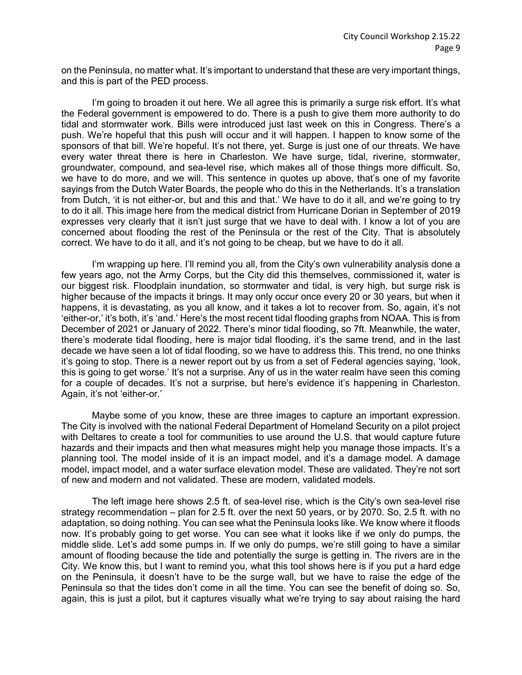on the Peninsula, no matter what. It's important to understand that these are very important things, and this is part of the PED process.

I'm going to broaden it out here. We all agree this is primarily a surge risk effort. It's what the Federal government is empowered to do. There is a push to give them more authority to do tidal and stormwater work. Bills were introduced just last week on this in Congress. There's a push. We're hopeful that this push will occur and it will happen. I happen to know some of the sponsors of that bill. We're hopeful. It's not there, yet. Surge is just one of our threats. We have every water threat there is here in Charleston. We have surge, tidal, riverine, stormwater, groundwater, compound, and sea-level rise, which makes all of those things more difficult. So, we have to do more, and we will. This sentence in quotes up above, that's one of my favorite sayings from the Dutch Water Boards, the people who do this in the Netherlands. It's a translation from Dutch, 'it is not either-or, but and this and that.' We have to do it all, and we're going to try to do it all. This image here from the medical district from Hurricane Dorian in September of 2019 expresses very clearly that it isn't just surge that we have to deal with. I know a lot of you are concerned about flooding the rest of the Peninsula or the rest of the City. That is absolutely correct. We have to do it all, and it's not going to be cheap, but we have to do it all.

I'm wrapping up here. I'll remind you all, from the City's own vulnerability analysis done a few years ago, not the Army Corps, but the City did this themselves, commissioned it, water is our biggest risk. Floodplain inundation, so stormwater and tidal, is very high, but surge risk is higher because of the impacts it brings. It may only occur once every 20 or 30 years, but when it happens, it is devastating, as you all know, and it takes a lot to recover from. So, again, it's not 'either-or,' it's both, it's 'and.' Here's the most recent tidal flooding graphs from NOAA. This is from December of 2021 or January of 2022. There's minor tidal flooding, so 7ft. Meanwhile, the water, there's moderate tidal flooding, here is major tidal flooding, it's the same trend, and in the last decade we have seen a lot of tidal flooding, so we have to address this. This trend, no one thinks it's going to stop. There is a newer report out by us from a set of Federal agencies saying, 'look, this is going to get worse.' It's not a surprise. Any of us in the water realm have seen this coming for a couple of decades. It's not a surprise, but here's evidence it's happening in Charleston. Again, it's not 'either-or.'

Maybe some of you know, these are three images to capture an important expression. The City is involved with the national Federal Department of Homeland Security on a pilot project with Deltares to create a tool for communities to use around the U.S. that would capture future hazards and their impacts and then what measures might help you manage those impacts. It's a planning tool. The model inside of it is an impact model, and it's a damage model. A damage model, impact model, and a water surface elevation model. These are validated. They're not sort of new and modern and not validated. These are modern, validated models.

The left image here shows 2.5 ft. of sea-level rise, which is the City's own sea-level rise strategy recommendation – plan for 2.5 ft. over the next 50 years, or by 2070. So, 2.5 ft. with no adaptation, so doing nothing. You can see what the Peninsula looks like. We know where it floods now. It's probably going to get worse. You can see what it looks like if we only do pumps, the middle slide. Let's add some pumps in. If we only do pumps, we're still going to have a similar amount of flooding because the tide and potentially the surge is getting in. The rivers are in the City. We know this, but I want to remind you, what this tool shows here is if you put a hard edge on the Peninsula, it doesn't have to be the surge wall, but we have to raise the edge of the Peninsula so that the tides don't come in all the time. You can see the benefit of doing so. So, again, this is just a pilot, but it captures visually what we're trying to say about raising the hard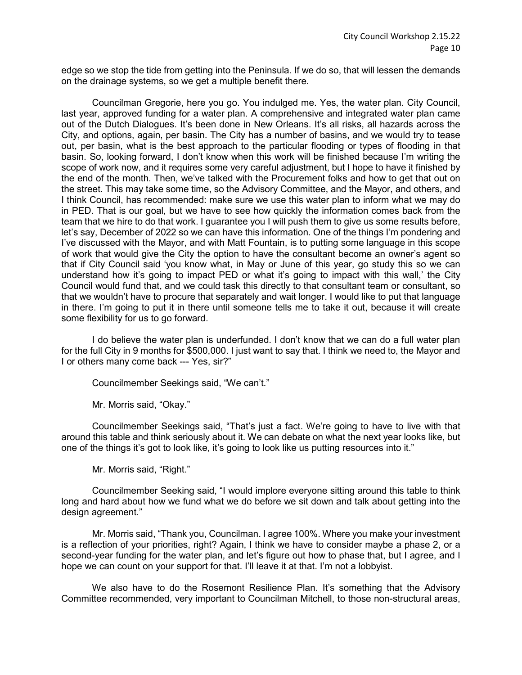edge so we stop the tide from getting into the Peninsula. If we do so, that will lessen the demands on the drainage systems, so we get a multiple benefit there.

Councilman Gregorie, here you go. You indulged me. Yes, the water plan. City Council, last year, approved funding for a water plan. A comprehensive and integrated water plan came out of the Dutch Dialogues. It's been done in New Orleans. It's all risks, all hazards across the City, and options, again, per basin. The City has a number of basins, and we would try to tease out, per basin, what is the best approach to the particular flooding or types of flooding in that basin. So, looking forward, I don't know when this work will be finished because I'm writing the scope of work now, and it requires some very careful adjustment, but I hope to have it finished by the end of the month. Then, we've talked with the Procurement folks and how to get that out on the street. This may take some time, so the Advisory Committee, and the Mayor, and others, and I think Council, has recommended: make sure we use this water plan to inform what we may do in PED. That is our goal, but we have to see how quickly the information comes back from the team that we hire to do that work. I guarantee you I will push them to give us some results before, let's say, December of 2022 so we can have this information. One of the things I'm pondering and I've discussed with the Mayor, and with Matt Fountain, is to putting some language in this scope of work that would give the City the option to have the consultant become an owner's agent so that if City Council said 'you know what, in May or June of this year, go study this so we can understand how it's going to impact PED or what it's going to impact with this wall,' the City Council would fund that, and we could task this directly to that consultant team or consultant, so that we wouldn't have to procure that separately and wait longer. I would like to put that language in there. I'm going to put it in there until someone tells me to take it out, because it will create some flexibility for us to go forward.

I do believe the water plan is underfunded. I don't know that we can do a full water plan for the full City in 9 months for \$500,000. I just want to say that. I think we need to, the Mayor and I or others many come back --- Yes, sir?"

Councilmember Seekings said, "We can't."

Mr. Morris said, "Okay."

Councilmember Seekings said, "That's just a fact. We're going to have to live with that around this table and think seriously about it. We can debate on what the next year looks like, but one of the things it's got to look like, it's going to look like us putting resources into it."

Mr. Morris said, "Right."

Councilmember Seeking said, "I would implore everyone sitting around this table to think long and hard about how we fund what we do before we sit down and talk about getting into the design agreement."

Mr. Morris said, "Thank you, Councilman. I agree 100%. Where you make your investment is a reflection of your priorities, right? Again, I think we have to consider maybe a phase 2, or a second-year funding for the water plan, and let's figure out how to phase that, but I agree, and I hope we can count on your support for that. I'll leave it at that. I'm not a lobbyist.

We also have to do the Rosemont Resilience Plan. It's something that the Advisory Committee recommended, very important to Councilman Mitchell, to those non-structural areas,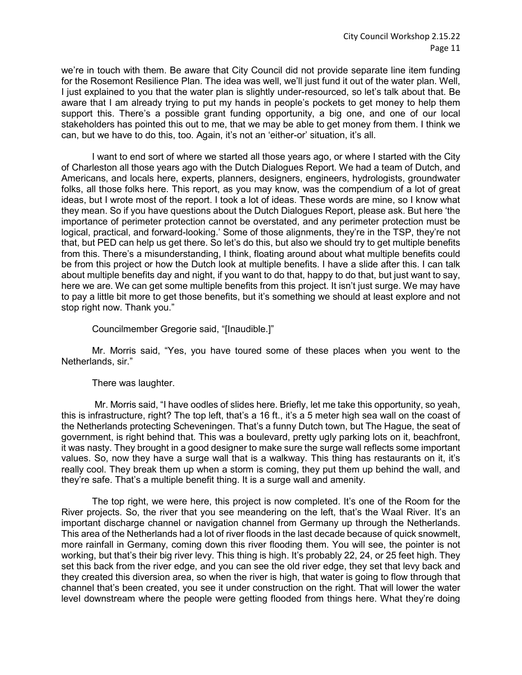we're in touch with them. Be aware that City Council did not provide separate line item funding for the Rosemont Resilience Plan. The idea was well, we'll just fund it out of the water plan. Well, I just explained to you that the water plan is slightly under-resourced, so let's talk about that. Be aware that I am already trying to put my hands in people's pockets to get money to help them support this. There's a possible grant funding opportunity, a big one, and one of our local stakeholders has pointed this out to me, that we may be able to get money from them. I think we can, but we have to do this, too. Again, it's not an 'either-or' situation, it's all.

I want to end sort of where we started all those years ago, or where I started with the City of Charleston all those years ago with the Dutch Dialogues Report. We had a team of Dutch, and Americans, and locals here, experts, planners, designers, engineers, hydrologists, groundwater folks, all those folks here. This report, as you may know, was the compendium of a lot of great ideas, but I wrote most of the report. I took a lot of ideas. These words are mine, so I know what they mean. So if you have questions about the Dutch Dialogues Report, please ask. But here 'the importance of perimeter protection cannot be overstated, and any perimeter protection must be logical, practical, and forward-looking.' Some of those alignments, they're in the TSP, they're not that, but PED can help us get there. So let's do this, but also we should try to get multiple benefits from this. There's a misunderstanding, I think, floating around about what multiple benefits could be from this project or how the Dutch look at multiple benefits. I have a slide after this. I can talk about multiple benefits day and night, if you want to do that, happy to do that, but just want to say, here we are. We can get some multiple benefits from this project. It isn't just surge. We may have to pay a little bit more to get those benefits, but it's something we should at least explore and not stop right now. Thank you."

Councilmember Gregorie said, "[Inaudible.]"

Mr. Morris said, "Yes, you have toured some of these places when you went to the Netherlands, sir."

There was laughter.

Mr. Morris said, "I have oodles of slides here. Briefly, let me take this opportunity, so yeah, this is infrastructure, right? The top left, that's a 16 ft., it's a 5 meter high sea wall on the coast of the Netherlands protecting Scheveningen. That's a funny Dutch town, but The Hague, the seat of government, is right behind that. This was a boulevard, pretty ugly parking lots on it, beachfront, it was nasty. They brought in a good designer to make sure the surge wall reflects some important values. So, now they have a surge wall that is a walkway. This thing has restaurants on it, it's really cool. They break them up when a storm is coming, they put them up behind the wall, and they're safe. That's a multiple benefit thing. It is a surge wall and amenity.

The top right, we were here, this project is now completed. It's one of the Room for the River projects. So, the river that you see meandering on the left, that's the Waal River. It's an important discharge channel or navigation channel from Germany up through the Netherlands. This area of the Netherlands had a lot of river floods in the last decade because of quick snowmelt, more rainfall in Germany, coming down this river flooding them. You will see, the pointer is not working, but that's their big river levy. This thing is high. It's probably 22, 24, or 25 feet high. They set this back from the river edge, and you can see the old river edge, they set that levy back and they created this diversion area, so when the river is high, that water is going to flow through that channel that's been created, you see it under construction on the right. That will lower the water level downstream where the people were getting flooded from things here. What they're doing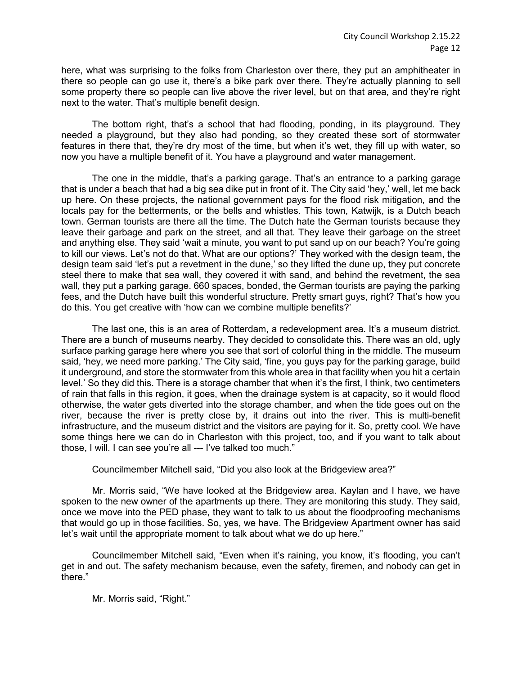here, what was surprising to the folks from Charleston over there, they put an amphitheater in there so people can go use it, there's a bike park over there. They're actually planning to sell some property there so people can live above the river level, but on that area, and they're right next to the water. That's multiple benefit design.

The bottom right, that's a school that had flooding, ponding, in its playground. They needed a playground, but they also had ponding, so they created these sort of stormwater features in there that, they're dry most of the time, but when it's wet, they fill up with water, so now you have a multiple benefit of it. You have a playground and water management.

The one in the middle, that's a parking garage. That's an entrance to a parking garage that is under a beach that had a big sea dike put in front of it. The City said 'hey,' well, let me back up here. On these projects, the national government pays for the flood risk mitigation, and the locals pay for the betterments, or the bells and whistles. This town, Katwijk, is a Dutch beach town. German tourists are there all the time. The Dutch hate the German tourists because they leave their garbage and park on the street, and all that. They leave their garbage on the street and anything else. They said 'wait a minute, you want to put sand up on our beach? You're going to kill our views. Let's not do that. What are our options?' They worked with the design team, the design team said 'let's put a revetment in the dune,' so they lifted the dune up, they put concrete steel there to make that sea wall, they covered it with sand, and behind the revetment, the sea wall, they put a parking garage. 660 spaces, bonded, the German tourists are paying the parking fees, and the Dutch have built this wonderful structure. Pretty smart guys, right? That's how you do this. You get creative with 'how can we combine multiple benefits?'

The last one, this is an area of Rotterdam, a redevelopment area. It's a museum district. There are a bunch of museums nearby. They decided to consolidate this. There was an old, ugly surface parking garage here where you see that sort of colorful thing in the middle. The museum said, 'hey, we need more parking.' The City said, 'fine, you guys pay for the parking garage, build it underground, and store the stormwater from this whole area in that facility when you hit a certain level.' So they did this. There is a storage chamber that when it's the first, I think, two centimeters of rain that falls in this region, it goes, when the drainage system is at capacity, so it would flood otherwise, the water gets diverted into the storage chamber, and when the tide goes out on the river, because the river is pretty close by, it drains out into the river. This is multi-benefit infrastructure, and the museum district and the visitors are paying for it. So, pretty cool. We have some things here we can do in Charleston with this project, too, and if you want to talk about those, I will. I can see you're all --- I've talked too much."

Councilmember Mitchell said, "Did you also look at the Bridgeview area?"

Mr. Morris said, "We have looked at the Bridgeview area. Kaylan and I have, we have spoken to the new owner of the apartments up there. They are monitoring this study. They said, once we move into the PED phase, they want to talk to us about the floodproofing mechanisms that would go up in those facilities. So, yes, we have. The Bridgeview Apartment owner has said let's wait until the appropriate moment to talk about what we do up here."

Councilmember Mitchell said, "Even when it's raining, you know, it's flooding, you can't get in and out. The safety mechanism because, even the safety, firemen, and nobody can get in there."

Mr. Morris said, "Right."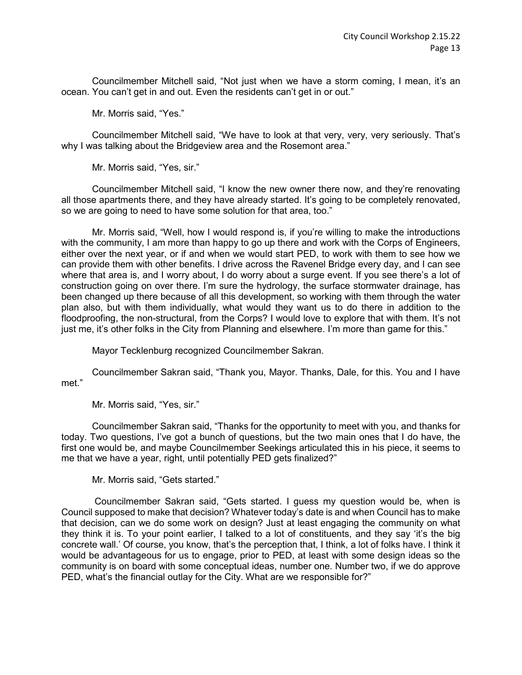Councilmember Mitchell said, "Not just when we have a storm coming, I mean, it's an ocean. You can't get in and out. Even the residents can't get in or out."

Mr. Morris said, "Yes."

Councilmember Mitchell said, "We have to look at that very, very, very seriously. That's why I was talking about the Bridgeview area and the Rosemont area."

Mr. Morris said, "Yes, sir."

Councilmember Mitchell said, "I know the new owner there now, and they're renovating all those apartments there, and they have already started. It's going to be completely renovated, so we are going to need to have some solution for that area, too."

Mr. Morris said, "Well, how I would respond is, if you're willing to make the introductions with the community, I am more than happy to go up there and work with the Corps of Engineers, either over the next year, or if and when we would start PED, to work with them to see how we can provide them with other benefits. I drive across the Ravenel Bridge every day, and I can see where that area is, and I worry about, I do worry about a surge event. If you see there's a lot of construction going on over there. I'm sure the hydrology, the surface stormwater drainage, has been changed up there because of all this development, so working with them through the water plan also, but with them individually, what would they want us to do there in addition to the floodproofing, the non-structural, from the Corps? I would love to explore that with them. It's not just me, it's other folks in the City from Planning and elsewhere. I'm more than game for this."

Mayor Tecklenburg recognized Councilmember Sakran.

Councilmember Sakran said, "Thank you, Mayor. Thanks, Dale, for this. You and I have met "

Mr. Morris said, "Yes, sir."

Councilmember Sakran said, "Thanks for the opportunity to meet with you, and thanks for today. Two questions, I've got a bunch of questions, but the two main ones that I do have, the first one would be, and maybe Councilmember Seekings articulated this in his piece, it seems to me that we have a year, right, until potentially PED gets finalized?"

Mr. Morris said, "Gets started."

Councilmember Sakran said, "Gets started. I guess my question would be, when is Council supposed to make that decision? Whatever today's date is and when Council has to make that decision, can we do some work on design? Just at least engaging the community on what they think it is. To your point earlier, I talked to a lot of constituents, and they say 'it's the big concrete wall.' Of course, you know, that's the perception that, I think, a lot of folks have. I think it would be advantageous for us to engage, prior to PED, at least with some design ideas so the community is on board with some conceptual ideas, number one. Number two, if we do approve PED, what's the financial outlay for the City. What are we responsible for?"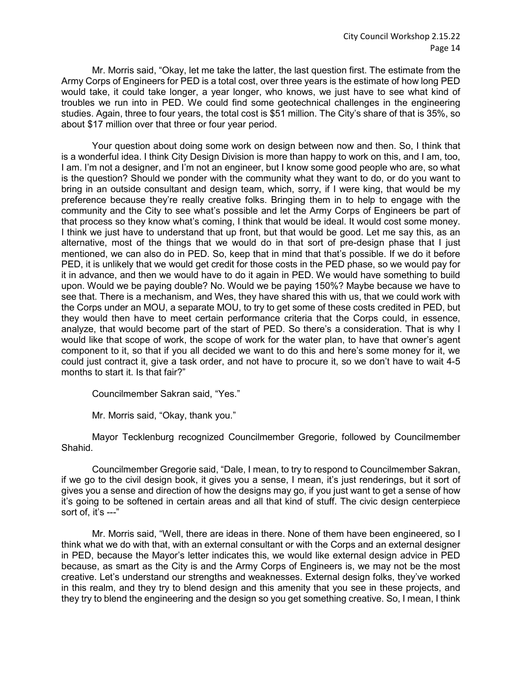Mr. Morris said, "Okay, let me take the latter, the last question first. The estimate from the Army Corps of Engineers for PED is a total cost, over three years is the estimate of how long PED would take, it could take longer, a year longer, who knows, we just have to see what kind of troubles we run into in PED. We could find some geotechnical challenges in the engineering studies. Again, three to four years, the total cost is \$51 million. The City's share of that is 35%, so about \$17 million over that three or four year period.

Your question about doing some work on design between now and then. So, I think that is a wonderful idea. I think City Design Division is more than happy to work on this, and I am, too, I am. I'm not a designer, and I'm not an engineer, but I know some good people who are, so what is the question? Should we ponder with the community what they want to do, or do you want to bring in an outside consultant and design team, which, sorry, if I were king, that would be my preference because they're really creative folks. Bringing them in to help to engage with the community and the City to see what's possible and let the Army Corps of Engineers be part of that process so they know what's coming, I think that would be ideal. It would cost some money. I think we just have to understand that up front, but that would be good. Let me say this, as an alternative, most of the things that we would do in that sort of pre-design phase that I just mentioned, we can also do in PED. So, keep that in mind that that's possible. If we do it before PED, it is unlikely that we would get credit for those costs in the PED phase, so we would pay for it in advance, and then we would have to do it again in PED. We would have something to build upon. Would we be paying double? No. Would we be paying 150%? Maybe because we have to see that. There is a mechanism, and Wes, they have shared this with us, that we could work with the Corps under an MOU, a separate MOU, to try to get some of these costs credited in PED, but they would then have to meet certain performance criteria that the Corps could, in essence, analyze, that would become part of the start of PED. So there's a consideration. That is why I would like that scope of work, the scope of work for the water plan, to have that owner's agent component to it, so that if you all decided we want to do this and here's some money for it, we could just contract it, give a task order, and not have to procure it, so we don't have to wait 4-5 months to start it. Is that fair?"

Councilmember Sakran said, "Yes."

Mr. Morris said, "Okay, thank you."

Mayor Tecklenburg recognized Councilmember Gregorie, followed by Councilmember Shahid.

Councilmember Gregorie said, "Dale, I mean, to try to respond to Councilmember Sakran, if we go to the civil design book, it gives you a sense, I mean, it's just renderings, but it sort of gives you a sense and direction of how the designs may go, if you just want to get a sense of how it's going to be softened in certain areas and all that kind of stuff. The civic design centerpiece sort of, it's ---"

Mr. Morris said, "Well, there are ideas in there. None of them have been engineered, so I think what we do with that, with an external consultant or with the Corps and an external designer in PED, because the Mayor's letter indicates this, we would like external design advice in PED because, as smart as the City is and the Army Corps of Engineers is, we may not be the most creative. Let's understand our strengths and weaknesses. External design folks, they've worked in this realm, and they try to blend design and this amenity that you see in these projects, and they try to blend the engineering and the design so you get something creative. So, I mean, I think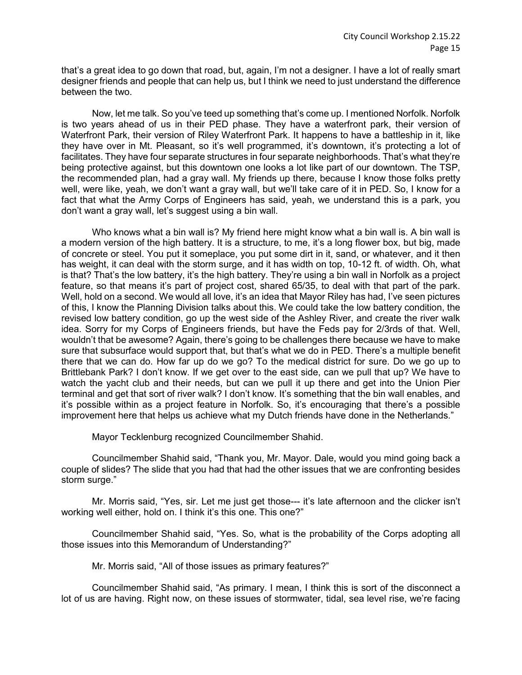that's a great idea to go down that road, but, again, I'm not a designer. I have a lot of really smart designer friends and people that can help us, but I think we need to just understand the difference between the two.

Now, let me talk. So you've teed up something that's come up. I mentioned Norfolk. Norfolk is two years ahead of us in their PED phase. They have a waterfront park, their version of Waterfront Park, their version of Riley Waterfront Park. It happens to have a battleship in it, like they have over in Mt. Pleasant, so it's well programmed, it's downtown, it's protecting a lot of facilitates. They have four separate structures in four separate neighborhoods. That's what they're being protective against, but this downtown one looks a lot like part of our downtown. The TSP, the recommended plan, had a gray wall. My friends up there, because I know those folks pretty well, were like, yeah, we don't want a gray wall, but we'll take care of it in PED. So, I know for a fact that what the Army Corps of Engineers has said, yeah, we understand this is a park, you don't want a gray wall, let's suggest using a bin wall.

Who knows what a bin wall is? My friend here might know what a bin wall is. A bin wall is a modern version of the high battery. It is a structure, to me, it's a long flower box, but big, made of concrete or steel. You put it someplace, you put some dirt in it, sand, or whatever, and it then has weight, it can deal with the storm surge, and it has width on top, 10-12 ft. of width. Oh, what is that? That's the low battery, it's the high battery. They're using a bin wall in Norfolk as a project feature, so that means it's part of project cost, shared 65/35, to deal with that part of the park. Well, hold on a second. We would all love, it's an idea that Mayor Riley has had, I've seen pictures of this, I know the Planning Division talks about this. We could take the low battery condition, the revised low battery condition, go up the west side of the Ashley River, and create the river walk idea. Sorry for my Corps of Engineers friends, but have the Feds pay for 2/3rds of that. Well, wouldn't that be awesome? Again, there's going to be challenges there because we have to make sure that subsurface would support that, but that's what we do in PED. There's a multiple benefit there that we can do. How far up do we go? To the medical district for sure. Do we go up to Brittlebank Park? I don't know. If we get over to the east side, can we pull that up? We have to watch the yacht club and their needs, but can we pull it up there and get into the Union Pier terminal and get that sort of river walk? I don't know. It's something that the bin wall enables, and it's possible within as a project feature in Norfolk. So, it's encouraging that there's a possible improvement here that helps us achieve what my Dutch friends have done in the Netherlands."

Mayor Tecklenburg recognized Councilmember Shahid.

Councilmember Shahid said, "Thank you, Mr. Mayor. Dale, would you mind going back a couple of slides? The slide that you had that had the other issues that we are confronting besides storm surge."

Mr. Morris said, "Yes, sir. Let me just get those--- it's late afternoon and the clicker isn't working well either, hold on. I think it's this one. This one?"

Councilmember Shahid said, "Yes. So, what is the probability of the Corps adopting all those issues into this Memorandum of Understanding?"

Mr. Morris said, "All of those issues as primary features?"

Councilmember Shahid said, "As primary. I mean, I think this is sort of the disconnect a lot of us are having. Right now, on these issues of stormwater, tidal, sea level rise, we're facing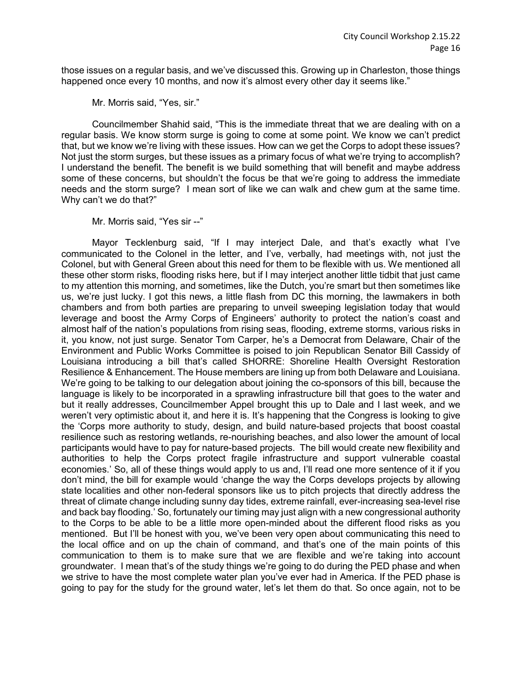those issues on a regular basis, and we've discussed this. Growing up in Charleston, those things happened once every 10 months, and now it's almost every other day it seems like."

Mr. Morris said, "Yes, sir."

Councilmember Shahid said, "This is the immediate threat that we are dealing with on a regular basis. We know storm surge is going to come at some point. We know we can't predict that, but we know we're living with these issues. How can we get the Corps to adopt these issues? Not just the storm surges, but these issues as a primary focus of what we're trying to accomplish? I understand the benefit. The benefit is we build something that will benefit and maybe address some of these concerns, but shouldn't the focus be that we're going to address the immediate needs and the storm surge? I mean sort of like we can walk and chew gum at the same time. Why can't we do that?"

Mr. Morris said, "Yes sir --"

Mayor Tecklenburg said, "If I may interject Dale, and that's exactly what I've communicated to the Colonel in the letter, and I've, verbally, had meetings with, not just the Colonel, but with General Green about this need for them to be flexible with us. We mentioned all these other storm risks, flooding risks here, but if I may interject another little tidbit that just came to my attention this morning, and sometimes, like the Dutch, you're smart but then sometimes like us, we're just lucky. I got this news, a little flash from DC this morning, the lawmakers in both chambers and from both parties are preparing to unveil sweeping legislation today that would leverage and boost the Army Corps of Engineers' authority to protect the nation's coast and almost half of the nation's populations from rising seas, flooding, extreme storms, various risks in it, you know, not just surge. Senator Tom Carper, he's a Democrat from Delaware, Chair of the Environment and Public Works Committee is poised to join Republican Senator Bill Cassidy of Louisiana introducing a bill that's called SHORRE: Shoreline Health Oversight Restoration Resilience & Enhancement. The House members are lining up from both Delaware and Louisiana. We're going to be talking to our delegation about joining the co-sponsors of this bill, because the language is likely to be incorporated in a sprawling infrastructure bill that goes to the water and but it really addresses, Councilmember Appel brought this up to Dale and I last week, and we weren't very optimistic about it, and here it is. It's happening that the Congress is looking to give the 'Corps more authority to study, design, and build nature-based projects that boost coastal resilience such as restoring wetlands, re-nourishing beaches, and also lower the amount of local participants would have to pay for nature-based projects. The bill would create new flexibility and authorities to help the Corps protect fragile infrastructure and support vulnerable coastal economies.' So, all of these things would apply to us and, I'll read one more sentence of it if you don't mind, the bill for example would 'change the way the Corps develops projects by allowing state localities and other non-federal sponsors like us to pitch projects that directly address the threat of climate change including sunny day tides, extreme rainfall, ever-increasing sea-level rise and back bay flooding.' So, fortunately our timing may just align with a new congressional authority to the Corps to be able to be a little more open-minded about the different flood risks as you mentioned. But I'll be honest with you, we've been very open about communicating this need to the local office and on up the chain of command, and that's one of the main points of this communication to them is to make sure that we are flexible and we're taking into account groundwater. I mean that's of the study things we're going to do during the PED phase and when we strive to have the most complete water plan you've ever had in America. If the PED phase is going to pay for the study for the ground water, let's let them do that. So once again, not to be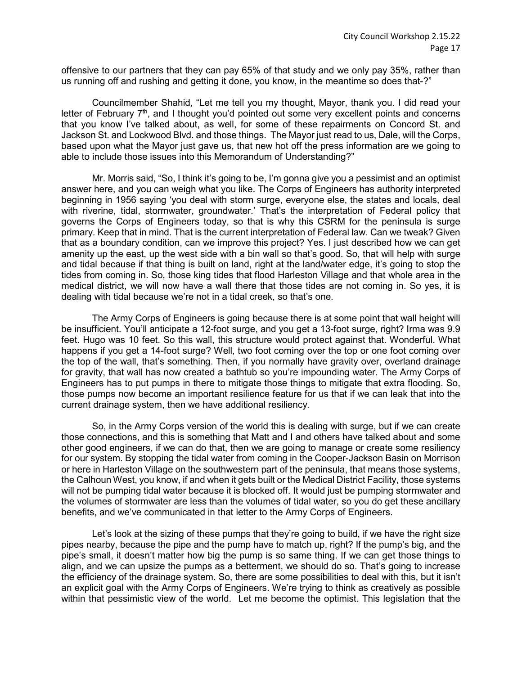offensive to our partners that they can pay 65% of that study and we only pay 35%, rather than us running off and rushing and getting it done, you know, in the meantime so does that-?"

Councilmember Shahid, "Let me tell you my thought, Mayor, thank you. I did read your letter of February  $7<sup>th</sup>$ , and I thought you'd pointed out some very excellent points and concerns that you know I've talked about, as well, for some of these repairments on Concord St. and Jackson St. and Lockwood Blvd. and those things. The Mayor just read to us, Dale, will the Corps, based upon what the Mayor just gave us, that new hot off the press information are we going to able to include those issues into this Memorandum of Understanding?"

Mr. Morris said, "So, I think it's going to be, I'm gonna give you a pessimist and an optimist answer here, and you can weigh what you like. The Corps of Engineers has authority interpreted beginning in 1956 saying 'you deal with storm surge, everyone else, the states and locals, deal with riverine, tidal, stormwater, groundwater.' That's the interpretation of Federal policy that governs the Corps of Engineers today, so that is why this CSRM for the peninsula is surge primary. Keep that in mind. That is the current interpretation of Federal law. Can we tweak? Given that as a boundary condition, can we improve this project? Yes. I just described how we can get amenity up the east, up the west side with a bin wall so that's good. So, that will help with surge and tidal because if that thing is built on land, right at the land/water edge, it's going to stop the tides from coming in. So, those king tides that flood Harleston Village and that whole area in the medical district, we will now have a wall there that those tides are not coming in. So yes, it is dealing with tidal because we're not in a tidal creek, so that's one.

The Army Corps of Engineers is going because there is at some point that wall height will be insufficient. You'll anticipate a 12-foot surge, and you get a 13-foot surge, right? Irma was 9.9 feet. Hugo was 10 feet. So this wall, this structure would protect against that. Wonderful. What happens if you get a 14-foot surge? Well, two foot coming over the top or one foot coming over the top of the wall, that's something. Then, if you normally have gravity over, overland drainage for gravity, that wall has now created a bathtub so you're impounding water. The Army Corps of Engineers has to put pumps in there to mitigate those things to mitigate that extra flooding. So, those pumps now become an important resilience feature for us that if we can leak that into the current drainage system, then we have additional resiliency.

So, in the Army Corps version of the world this is dealing with surge, but if we can create those connections, and this is something that Matt and I and others have talked about and some other good engineers, if we can do that, then we are going to manage or create some resiliency for our system. By stopping the tidal water from coming in the Cooper-Jackson Basin on Morrison or here in Harleston Village on the southwestern part of the peninsula, that means those systems, the Calhoun West, you know, if and when it gets built or the Medical District Facility, those systems will not be pumping tidal water because it is blocked off. It would just be pumping stormwater and the volumes of stormwater are less than the volumes of tidal water, so you do get these ancillary benefits, and we've communicated in that letter to the Army Corps of Engineers.

Let's look at the sizing of these pumps that they're going to build, if we have the right size pipes nearby, because the pipe and the pump have to match up, right? If the pump's big, and the pipe's small, it doesn't matter how big the pump is so same thing. If we can get those things to align, and we can upsize the pumps as a betterment, we should do so. That's going to increase the efficiency of the drainage system. So, there are some possibilities to deal with this, but it isn't an explicit goal with the Army Corps of Engineers. We're trying to think as creatively as possible within that pessimistic view of the world. Let me become the optimist. This legislation that the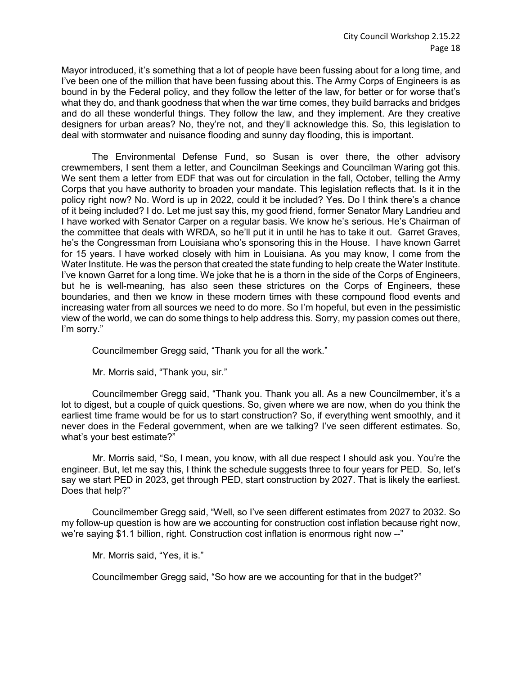Mayor introduced, it's something that a lot of people have been fussing about for a long time, and I've been one of the million that have been fussing about this. The Army Corps of Engineers is as bound in by the Federal policy, and they follow the letter of the law, for better or for worse that's what they do, and thank goodness that when the war time comes, they build barracks and bridges and do all these wonderful things. They follow the law, and they implement. Are they creative designers for urban areas? No, they're not, and they'll acknowledge this. So, this legislation to deal with stormwater and nuisance flooding and sunny day flooding, this is important.

The Environmental Defense Fund, so Susan is over there, the other advisory crewmembers, I sent them a letter, and Councilman Seekings and Councilman Waring got this. We sent them a letter from EDF that was out for circulation in the fall, October, telling the Army Corps that you have authority to broaden your mandate. This legislation reflects that. Is it in the policy right now? No. Word is up in 2022, could it be included? Yes. Do I think there's a chance of it being included? I do. Let me just say this, my good friend, former Senator Mary Landrieu and I have worked with Senator Carper on a regular basis. We know he's serious. He's Chairman of the committee that deals with WRDA, so he'll put it in until he has to take it out. Garret Graves, he's the Congressman from Louisiana who's sponsoring this in the House. I have known Garret for 15 years. I have worked closely with him in Louisiana. As you may know, I come from the Water Institute. He was the person that created the state funding to help create the Water Institute. I've known Garret for a long time. We joke that he is a thorn in the side of the Corps of Engineers, but he is well-meaning, has also seen these strictures on the Corps of Engineers, these boundaries, and then we know in these modern times with these compound flood events and increasing water from all sources we need to do more. So I'm hopeful, but even in the pessimistic view of the world, we can do some things to help address this. Sorry, my passion comes out there, I'm sorry."

Councilmember Gregg said, "Thank you for all the work."

Mr. Morris said, "Thank you, sir."

Councilmember Gregg said, "Thank you. Thank you all. As a new Councilmember, it's a lot to digest, but a couple of quick questions. So, given where we are now, when do you think the earliest time frame would be for us to start construction? So, if everything went smoothly, and it never does in the Federal government, when are we talking? I've seen different estimates. So, what's your best estimate?"

Mr. Morris said, "So, I mean, you know, with all due respect I should ask you. You're the engineer. But, let me say this, I think the schedule suggests three to four years for PED. So, let's say we start PED in 2023, get through PED, start construction by 2027. That is likely the earliest. Does that help?"

Councilmember Gregg said, "Well, so I've seen different estimates from 2027 to 2032. So my follow-up question is how are we accounting for construction cost inflation because right now, we're saying \$1.1 billion, right. Construction cost inflation is enormous right now --"

Mr. Morris said, "Yes, it is."

Councilmember Gregg said, "So how are we accounting for that in the budget?"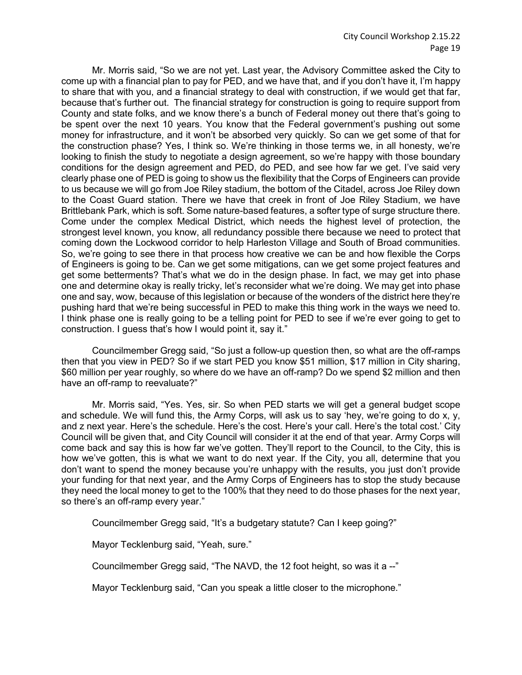Mr. Morris said, "So we are not yet. Last year, the Advisory Committee asked the City to come up with a financial plan to pay for PED, and we have that, and if you don't have it, I'm happy to share that with you, and a financial strategy to deal with construction, if we would get that far, because that's further out. The financial strategy for construction is going to require support from County and state folks, and we know there's a bunch of Federal money out there that's going to be spent over the next 10 years. You know that the Federal government's pushing out some money for infrastructure, and it won't be absorbed very quickly. So can we get some of that for the construction phase? Yes, I think so. We're thinking in those terms we, in all honesty, we're looking to finish the study to negotiate a design agreement, so we're happy with those boundary conditions for the design agreement and PED, do PED, and see how far we get. I've said very clearly phase one of PED is going to show us the flexibility that the Corps of Engineers can provide to us because we will go from Joe Riley stadium, the bottom of the Citadel, across Joe Riley down to the Coast Guard station. There we have that creek in front of Joe Riley Stadium, we have Brittlebank Park, which is soft. Some nature-based features, a softer type of surge structure there. Come under the complex Medical District, which needs the highest level of protection, the strongest level known, you know, all redundancy possible there because we need to protect that coming down the Lockwood corridor to help Harleston Village and South of Broad communities. So, we're going to see there in that process how creative we can be and how flexible the Corps of Engineers is going to be. Can we get some mitigations, can we get some project features and get some betterments? That's what we do in the design phase. In fact, we may get into phase one and determine okay is really tricky, let's reconsider what we're doing. We may get into phase one and say, wow, because of this legislation or because of the wonders of the district here they're pushing hard that we're being successful in PED to make this thing work in the ways we need to. I think phase one is really going to be a telling point for PED to see if we're ever going to get to construction. I guess that's how I would point it, say it."

Councilmember Gregg said, "So just a follow-up question then, so what are the off-ramps then that you view in PED? So if we start PED you know \$51 million, \$17 million in City sharing, \$60 million per year roughly, so where do we have an off-ramp? Do we spend \$2 million and then have an off-ramp to reevaluate?"

Mr. Morris said, "Yes. Yes, sir. So when PED starts we will get a general budget scope and schedule. We will fund this, the Army Corps, will ask us to say 'hey, we're going to do x, y, and z next year. Here's the schedule. Here's the cost. Here's your call. Here's the total cost.' City Council will be given that, and City Council will consider it at the end of that year. Army Corps will come back and say this is how far we've gotten. They'll report to the Council, to the City, this is how we've gotten, this is what we want to do next year. If the City, you all, determine that you don't want to spend the money because you're unhappy with the results, you just don't provide your funding for that next year, and the Army Corps of Engineers has to stop the study because they need the local money to get to the 100% that they need to do those phases for the next year, so there's an off-ramp every year."

Councilmember Gregg said, "It's a budgetary statute? Can I keep going?"

Mayor Tecklenburg said, "Yeah, sure."

Councilmember Gregg said, "The NAVD, the 12 foot height, so was it a --"

Mayor Tecklenburg said, "Can you speak a little closer to the microphone."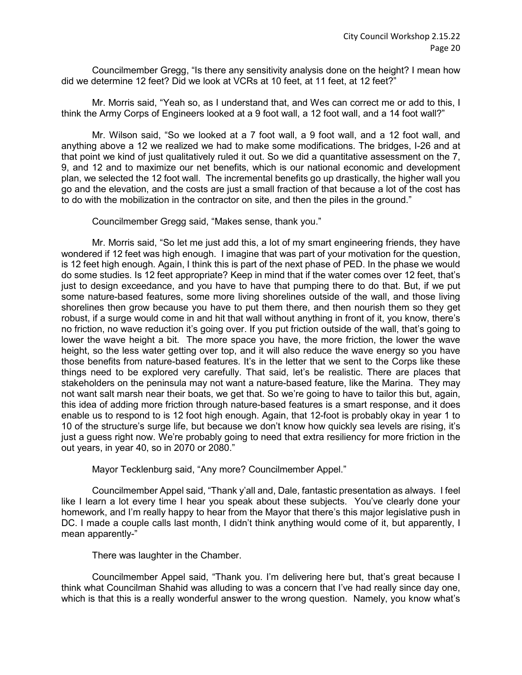Councilmember Gregg, "Is there any sensitivity analysis done on the height? I mean how did we determine 12 feet? Did we look at VCRs at 10 feet, at 11 feet, at 12 feet?"

Mr. Morris said, "Yeah so, as I understand that, and Wes can correct me or add to this, I think the Army Corps of Engineers looked at a 9 foot wall, a 12 foot wall, and a 14 foot wall?"

Mr. Wilson said, "So we looked at a 7 foot wall, a 9 foot wall, and a 12 foot wall, and anything above a 12 we realized we had to make some modifications. The bridges, I-26 and at that point we kind of just qualitatively ruled it out. So we did a quantitative assessment on the 7, 9, and 12 and to maximize our net benefits, which is our national economic and development plan, we selected the 12 foot wall. The incremental benefits go up drastically, the higher wall you go and the elevation, and the costs are just a small fraction of that because a lot of the cost has to do with the mobilization in the contractor on site, and then the piles in the ground."

Councilmember Gregg said, "Makes sense, thank you."

Mr. Morris said, "So let me just add this, a lot of my smart engineering friends, they have wondered if 12 feet was high enough. I imagine that was part of your motivation for the question, is 12 feet high enough. Again, I think this is part of the next phase of PED. In the phase we would do some studies. Is 12 feet appropriate? Keep in mind that if the water comes over 12 feet, that's just to design exceedance, and you have to have that pumping there to do that. But, if we put some nature-based features, some more living shorelines outside of the wall, and those living shorelines then grow because you have to put them there, and then nourish them so they get robust, if a surge would come in and hit that wall without anything in front of it, you know, there's no friction, no wave reduction it's going over. If you put friction outside of the wall, that's going to lower the wave height a bit. The more space you have, the more friction, the lower the wave height, so the less water getting over top, and it will also reduce the wave energy so you have those benefits from nature-based features. It's in the letter that we sent to the Corps like these things need to be explored very carefully. That said, let's be realistic. There are places that stakeholders on the peninsula may not want a nature-based feature, like the Marina. They may not want salt marsh near their boats, we get that. So we're going to have to tailor this but, again, this idea of adding more friction through nature-based features is a smart response, and it does enable us to respond to is 12 foot high enough. Again, that 12-foot is probably okay in year 1 to 10 of the structure's surge life, but because we don't know how quickly sea levels are rising, it's just a guess right now. We're probably going to need that extra resiliency for more friction in the out years, in year 40, so in 2070 or 2080."

Mayor Tecklenburg said, "Any more? Councilmember Appel."

Councilmember Appel said, "Thank y'all and, Dale, fantastic presentation as always. I feel like I learn a lot every time I hear you speak about these subjects. You've clearly done your homework, and I'm really happy to hear from the Mayor that there's this major legislative push in DC. I made a couple calls last month, I didn't think anything would come of it, but apparently, I mean apparently-"

There was laughter in the Chamber.

Councilmember Appel said, "Thank you. I'm delivering here but, that's great because I think what Councilman Shahid was alluding to was a concern that I've had really since day one, which is that this is a really wonderful answer to the wrong question. Namely, you know what's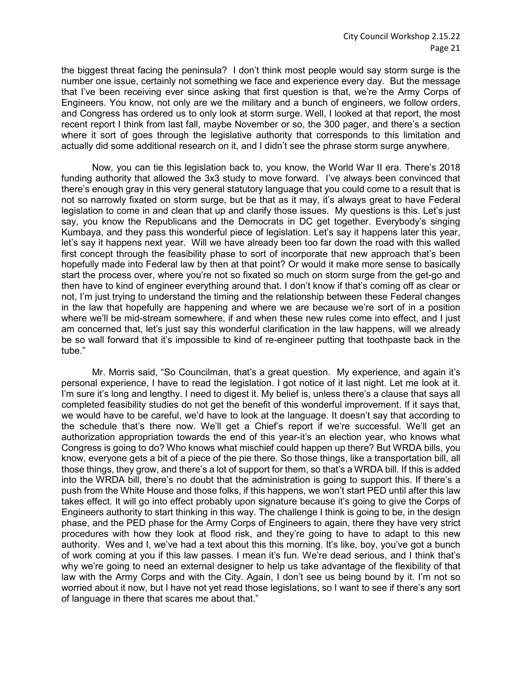the biggest threat facing the peninsula? I don't think most people would say storm surge is the number one issue, certainly not something we face and experience every day. But the message that I've been receiving ever since asking that first question is that, we're the Army Corps of Engineers. You know, not only are we the military and a bunch of engineers, we follow orders, and Congress has ordered us to only look at storm surge. Well, I looked at that report, the most recent report I think from last fall, maybe November or so, the 300 pager, and there's a section where it sort of goes through the legislative authority that corresponds to this limitation and actually did some additional research on it, and I didn't see the phrase storm surge anywhere.

Now, you can tie this legislation back to, you know, the World War II era. There's 2018 funding authority that allowed the 3x3 study to move forward. I've always been convinced that there's enough gray in this very general statutory language that you could come to a result that is not so narrowly fixated on storm surge, but be that as it may, it's always great to have Federal legislation to come in and clean that up and clarify those issues. My questions is this. Let's just say, you know the Republicans and the Democrats in DC get together. Everybody's singing Kumbaya, and they pass this wonderful piece of legislation. Let's say it happens later this year, let's say it happens next year. Will we have already been too far down the road with this walled first concept through the feasibility phase to sort of incorporate that new approach that's been hopefully made into Federal law by then at that point? Or would it make more sense to basically start the process over, where you're not so fixated so much on storm surge from the get-go and then have to kind of engineer everything around that. I don't know if that's coming off as clear or not, I'm just trying to understand the timing and the relationship between these Federal changes in the law that hopefully are happening and where we are because we're sort of in a position where we'll be mid-stream somewhere, if and when these new rules come into effect, and I just am concerned that, let's just say this wonderful clarification in the law happens, will we already be so wall forward that it's impossible to kind of re-engineer putting that toothpaste back in the tube."

Mr. Morris said, "So Councilman, that's a great question. My experience, and again it's personal experience, I have to read the legislation. I got notice of it last night. Let me look at it. I'm sure it's long and lengthy. I need to digest it. My belief is, unless there's a clause that says all completed feasibility studies do not get the benefit of this wonderful improvement. If it says that, we would have to be careful, we'd have to look at the language. It doesn't say that according to the schedule that's there now. We'll get a Chief's report if we're successful. We'll get an authorization appropriation towards the end of this year-it's an election year, who knows what Congress is going to do? Who knows what mischief could happen up there? But WRDA bills, you know, everyone gets a bit of a piece of the pie there. So those things, like a transportation bill, all those things, they grow, and there's a lot of support for them, so that's a WRDA bill. If this is added into the WRDA bill, there's no doubt that the administration is going to support this. If there's a push from the White House and those folks, if this happens, we won't start PED until after this law takes effect. It will go into effect probably upon signature because it's going to give the Corps of Engineers authority to start thinking in this way. The challenge I think is going to be, in the design phase, and the PED phase for the Army Corps of Engineers to again, there they have very strict procedures with how they look at flood risk, and they're going to have to adapt to this new authority. Wes and I, we've had a text about this this morning. It's like, boy, you've got a bunch of work coming at you if this law passes. I mean it's fun. We're dead serious, and I think that's why we're going to need an external designer to help us take advantage of the flexibility of that law with the Army Corps and with the City. Again, I don't see us being bound by it. I'm not so worried about it now, but I have not yet read those legislations, so I want to see if there's any sort of language in there that scares me about that."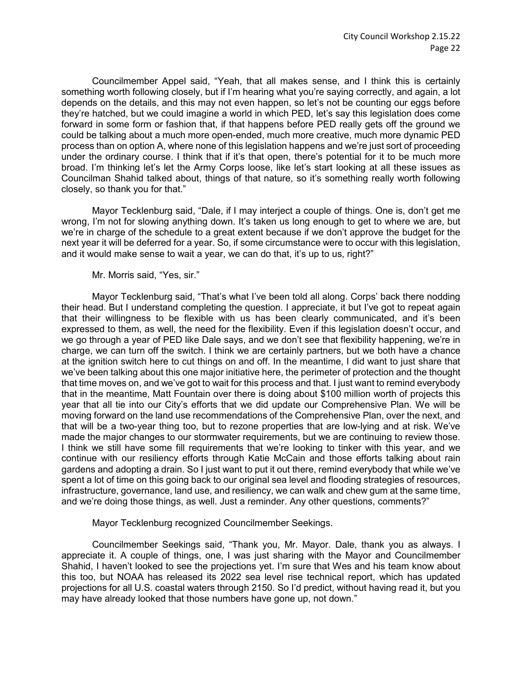Councilmember Appel said, "Yeah, that all makes sense, and I think this is certainly something worth following closely, but if I'm hearing what you're saying correctly, and again, a lot depends on the details, and this may not even happen, so let's not be counting our eggs before they're hatched, but we could imagine a world in which PED, let's say this legislation does come forward in some form or fashion that, if that happens before PED really gets off the ground we could be talking about a much more open-ended, much more creative, much more dynamic PED process than on option A, where none of this legislation happens and we're just sort of proceeding under the ordinary course. I think that if it's that open, there's potential for it to be much more broad. I'm thinking let's let the Army Corps loose, like let's start looking at all these issues as Councilman Shahid talked about, things of that nature, so it's something really worth following closely, so thank you for that."

Mayor Tecklenburg said, "Dale, if I may interject a couple of things. One is, don't get me wrong, I'm not for slowing anything down. It's taken us long enough to get to where we are, but we're in charge of the schedule to a great extent because if we don't approve the budget for the next year it will be deferred for a year. So, if some circumstance were to occur with this legislation, and it would make sense to wait a year, we can do that, it's up to us, right?"

Mr. Morris said, "Yes, sir."

Mayor Tecklenburg said, "That's what I've been told all along. Corps' back there nodding their head. But I understand completing the question. I appreciate, it but I've got to repeat again that their willingness to be flexible with us has been clearly communicated, and it's been expressed to them, as well, the need for the flexibility. Even if this legislation doesn't occur, and we go through a year of PED like Dale says, and we don't see that flexibility happening, we're in charge, we can turn off the switch. I think we are certainly partners, but we both have a chance at the ignition switch here to cut things on and off. In the meantime, I did want to just share that we've been talking about this one major initiative here, the perimeter of protection and the thought that time moves on, and we've got to wait for this process and that. I just want to remind everybody that in the meantime, Matt Fountain over there is doing about \$100 million worth of projects this year that all tie into our City's efforts that we did update our Comprehensive Plan. We will be moving forward on the land use recommendations of the Comprehensive Plan, over the next, and that will be a two-year thing too, but to rezone properties that are low-lying and at risk. We've made the major changes to our stormwater requirements, but we are continuing to review those. I think we still have some fill requirements that we're looking to tinker with this year, and we continue with our resiliency efforts through Katie McCain and those efforts talking about rain gardens and adopting a drain. So I just want to put it out there, remind everybody that while we've spent a lot of time on this going back to our original sea level and flooding strategies of resources, infrastructure, governance, land use, and resiliency, we can walk and chew gum at the same time, and we're doing those things, as well. Just a reminder. Any other questions, comments?"

Mayor Tecklenburg recognized Councilmember Seekings.

Councilmember Seekings said, "Thank you, Mr. Mayor. Dale, thank you as always. I appreciate it. A couple of things, one, I was just sharing with the Mayor and Councilmember Shahid, I haven't looked to see the projections yet. I'm sure that Wes and his team know about this too, but NOAA has released its 2022 sea level rise technical report, which has updated projections for all U.S. coastal waters through 2150. So I'd predict, without having read it, but you may have already looked that those numbers have gone up, not down."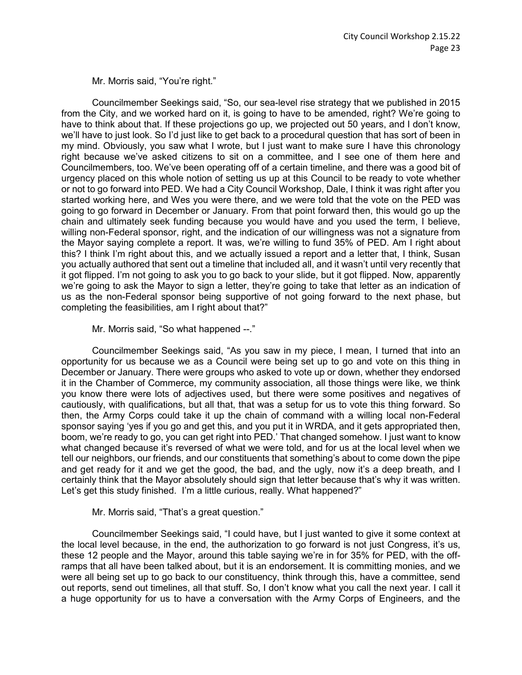Mr. Morris said, "You're right."

Councilmember Seekings said, "So, our sea-level rise strategy that we published in 2015 from the City, and we worked hard on it, is going to have to be amended, right? We're going to have to think about that. If these projections go up, we projected out 50 years, and I don't know, we'll have to just look. So I'd just like to get back to a procedural question that has sort of been in my mind. Obviously, you saw what I wrote, but I just want to make sure I have this chronology right because we've asked citizens to sit on a committee, and I see one of them here and Councilmembers, too. We've been operating off of a certain timeline, and there was a good bit of urgency placed on this whole notion of setting us up at this Council to be ready to vote whether or not to go forward into PED. We had a City Council Workshop, Dale, I think it was right after you started working here, and Wes you were there, and we were told that the vote on the PED was going to go forward in December or January. From that point forward then, this would go up the chain and ultimately seek funding because you would have and you used the term, I believe, willing non-Federal sponsor, right, and the indication of our willingness was not a signature from the Mayor saying complete a report. It was, we're willing to fund 35% of PED. Am I right about this? I think I'm right about this, and we actually issued a report and a letter that, I think, Susan you actually authored that sent out a timeline that included all, and it wasn't until very recently that it got flipped. I'm not going to ask you to go back to your slide, but it got flipped. Now, apparently we're going to ask the Mayor to sign a letter, they're going to take that letter as an indication of us as the non-Federal sponsor being supportive of not going forward to the next phase, but completing the feasibilities, am I right about that?"

Mr. Morris said, "So what happened --."

Councilmember Seekings said, "As you saw in my piece, I mean, I turned that into an opportunity for us because we as a Council were being set up to go and vote on this thing in December or January. There were groups who asked to vote up or down, whether they endorsed it in the Chamber of Commerce, my community association, all those things were like, we think you know there were lots of adjectives used, but there were some positives and negatives of cautiously, with qualifications, but all that, that was a setup for us to vote this thing forward. So then, the Army Corps could take it up the chain of command with a willing local non-Federal sponsor saying 'yes if you go and get this, and you put it in WRDA, and it gets appropriated then, boom, we're ready to go, you can get right into PED.' That changed somehow. I just want to know what changed because it's reversed of what we were told, and for us at the local level when we tell our neighbors, our friends, and our constituents that something's about to come down the pipe and get ready for it and we get the good, the bad, and the ugly, now it's a deep breath, and I certainly think that the Mayor absolutely should sign that letter because that's why it was written. Let's get this study finished. I'm a little curious, really. What happened?"

Mr. Morris said, "That's a great question."

Councilmember Seekings said, "I could have, but I just wanted to give it some context at the local level because, in the end, the authorization to go forward is not just Congress, it's us, these 12 people and the Mayor, around this table saying we're in for 35% for PED, with the offramps that all have been talked about, but it is an endorsement. It is committing monies, and we were all being set up to go back to our constituency, think through this, have a committee, send out reports, send out timelines, all that stuff. So, I don't know what you call the next year. I call it a huge opportunity for us to have a conversation with the Army Corps of Engineers, and the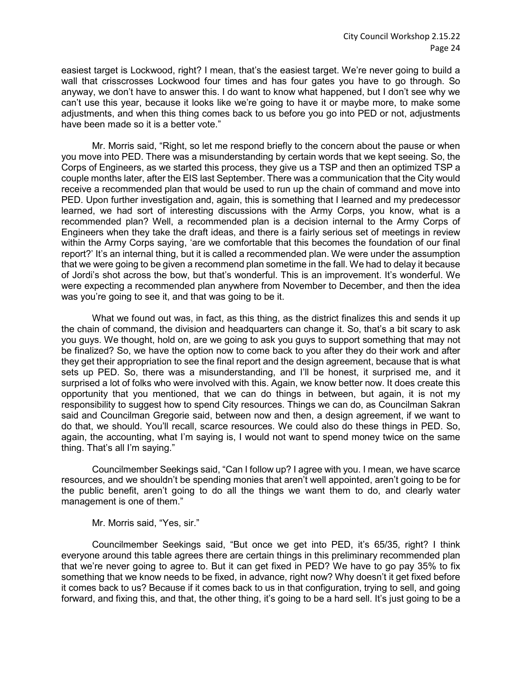easiest target is Lockwood, right? I mean, that's the easiest target. We're never going to build a wall that crisscrosses Lockwood four times and has four gates you have to go through. So anyway, we don't have to answer this. I do want to know what happened, but I don't see why we can't use this year, because it looks like we're going to have it or maybe more, to make some adjustments, and when this thing comes back to us before you go into PED or not, adjustments have been made so it is a better vote."

Mr. Morris said, "Right, so let me respond briefly to the concern about the pause or when you move into PED. There was a misunderstanding by certain words that we kept seeing. So, the Corps of Engineers, as we started this process, they give us a TSP and then an optimized TSP a couple months later, after the EIS last September. There was a communication that the City would receive a recommended plan that would be used to run up the chain of command and move into PED. Upon further investigation and, again, this is something that I learned and my predecessor learned, we had sort of interesting discussions with the Army Corps, you know, what is a recommended plan? Well, a recommended plan is a decision internal to the Army Corps of Engineers when they take the draft ideas, and there is a fairly serious set of meetings in review within the Army Corps saying, 'are we comfortable that this becomes the foundation of our final report?' It's an internal thing, but it is called a recommended plan. We were under the assumption that we were going to be given a recommend plan sometime in the fall. We had to delay it because of Jordi's shot across the bow, but that's wonderful. This is an improvement. It's wonderful. We were expecting a recommended plan anywhere from November to December, and then the idea was you're going to see it, and that was going to be it.

What we found out was, in fact, as this thing, as the district finalizes this and sends it up the chain of command, the division and headquarters can change it. So, that's a bit scary to ask you guys. We thought, hold on, are we going to ask you guys to support something that may not be finalized? So, we have the option now to come back to you after they do their work and after they get their appropriation to see the final report and the design agreement, because that is what sets up PED. So, there was a misunderstanding, and I'll be honest, it surprised me, and it surprised a lot of folks who were involved with this. Again, we know better now. It does create this opportunity that you mentioned, that we can do things in between, but again, it is not my responsibility to suggest how to spend City resources. Things we can do, as Councilman Sakran said and Councilman Gregorie said, between now and then, a design agreement, if we want to do that, we should. You'll recall, scarce resources. We could also do these things in PED. So, again, the accounting, what I'm saying is, I would not want to spend money twice on the same thing. That's all I'm saying."

Councilmember Seekings said, "Can I follow up? I agree with you. I mean, we have scarce resources, and we shouldn't be spending monies that aren't well appointed, aren't going to be for the public benefit, aren't going to do all the things we want them to do, and clearly water management is one of them."

Mr. Morris said, "Yes, sir."

Councilmember Seekings said, "But once we get into PED, it's 65/35, right? I think everyone around this table agrees there are certain things in this preliminary recommended plan that we're never going to agree to. But it can get fixed in PED? We have to go pay 35% to fix something that we know needs to be fixed, in advance, right now? Why doesn't it get fixed before it comes back to us? Because if it comes back to us in that configuration, trying to sell, and going forward, and fixing this, and that, the other thing, it's going to be a hard sell. It's just going to be a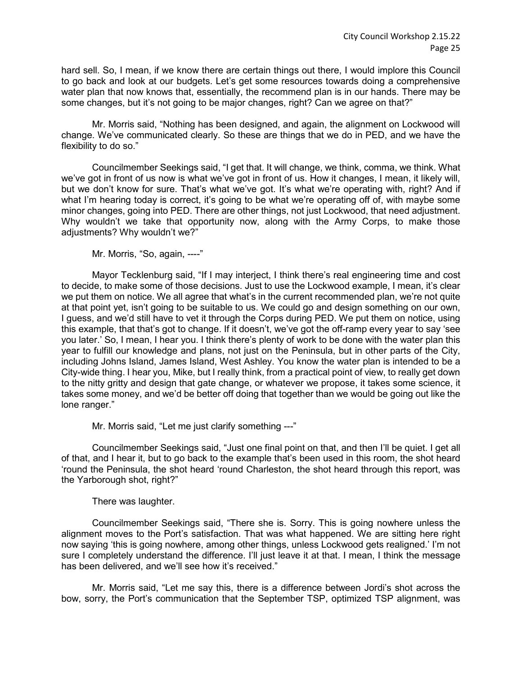hard sell. So, I mean, if we know there are certain things out there, I would implore this Council to go back and look at our budgets. Let's get some resources towards doing a comprehensive water plan that now knows that, essentially, the recommend plan is in our hands. There may be some changes, but it's not going to be major changes, right? Can we agree on that?"

Mr. Morris said, "Nothing has been designed, and again, the alignment on Lockwood will change. We've communicated clearly. So these are things that we do in PED, and we have the flexibility to do so."

Councilmember Seekings said, "I get that. It will change, we think, comma, we think. What we've got in front of us now is what we've got in front of us. How it changes, I mean, it likely will, but we don't know for sure. That's what we've got. It's what we're operating with, right? And if what I'm hearing today is correct, it's going to be what we're operating off of, with maybe some minor changes, going into PED. There are other things, not just Lockwood, that need adjustment. Why wouldn't we take that opportunity now, along with the Army Corps, to make those adjustments? Why wouldn't we?"

Mr. Morris, "So, again, ----"

Mayor Tecklenburg said, "If I may interject, I think there's real engineering time and cost to decide, to make some of those decisions. Just to use the Lockwood example, I mean, it's clear we put them on notice. We all agree that what's in the current recommended plan, we're not quite at that point yet, isn't going to be suitable to us. We could go and design something on our own, I guess, and we'd still have to vet it through the Corps during PED. We put them on notice, using this example, that that's got to change. If it doesn't, we've got the off-ramp every year to say 'see you later.' So, I mean, I hear you. I think there's plenty of work to be done with the water plan this year to fulfill our knowledge and plans, not just on the Peninsula, but in other parts of the City, including Johns Island, James Island, West Ashley. You know the water plan is intended to be a City-wide thing. I hear you, Mike, but I really think, from a practical point of view, to really get down to the nitty gritty and design that gate change, or whatever we propose, it takes some science, it takes some money, and we'd be better off doing that together than we would be going out like the lone ranger."

Mr. Morris said, "Let me just clarify something ---"

Councilmember Seekings said, "Just one final point on that, and then I'll be quiet. I get all of that, and I hear it, but to go back to the example that's been used in this room, the shot heard 'round the Peninsula, the shot heard 'round Charleston, the shot heard through this report, was the Yarborough shot, right?"

There was laughter.

Councilmember Seekings said, "There she is. Sorry. This is going nowhere unless the alignment moves to the Port's satisfaction. That was what happened. We are sitting here right now saying 'this is going nowhere, among other things, unless Lockwood gets realigned.' I'm not sure I completely understand the difference. I'll just leave it at that. I mean, I think the message has been delivered, and we'll see how it's received."

Mr. Morris said, "Let me say this, there is a difference between Jordi's shot across the bow, sorry, the Port's communication that the September TSP, optimized TSP alignment, was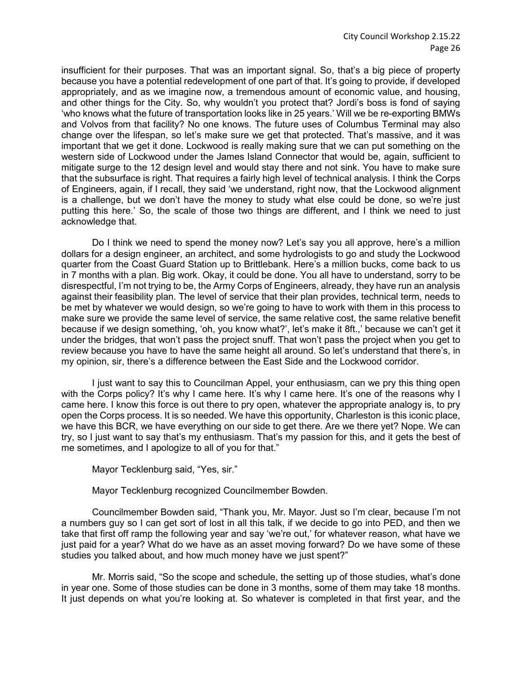insufficient for their purposes. That was an important signal. So, that's a big piece of property because you have a potential redevelopment of one part of that. It's going to provide, if developed appropriately, and as we imagine now, a tremendous amount of economic value, and housing, and other things for the City. So, why wouldn't you protect that? Jordi's boss is fond of saying 'who knows what the future of transportation looks like in 25 years.' Will we be re-exporting BMWs and Volvos from that facility? No one knows. The future uses of Columbus Terminal may also change over the lifespan, so let's make sure we get that protected. That's massive, and it was important that we get it done. Lockwood is really making sure that we can put something on the western side of Lockwood under the James Island Connector that would be, again, sufficient to mitigate surge to the 12 design level and would stay there and not sink. You have to make sure that the subsurface is right. That requires a fairly high level of technical analysis. I think the Corps of Engineers, again, if I recall, they said 'we understand, right now, that the Lockwood alignment is a challenge, but we don't have the money to study what else could be done, so we're just putting this here.' So, the scale of those two things are different, and I think we need to just acknowledge that.

Do I think we need to spend the money now? Let's say you all approve, here's a million dollars for a design engineer, an architect, and some hydrologists to go and study the Lockwood quarter from the Coast Guard Station up to Brittlebank. Here's a million bucks, come back to us in 7 months with a plan. Big work. Okay, it could be done. You all have to understand, sorry to be disrespectful, I'm not trying to be, the Army Corps of Engineers, already, they have run an analysis against their feasibility plan. The level of service that their plan provides, technical term, needs to be met by whatever we would design, so we're going to have to work with them in this process to make sure we provide the same level of service, the same relative cost, the same relative benefit because if we design something, 'oh, you know what?', let's make it 8ft.,' because we can't get it under the bridges, that won't pass the project snuff. That won't pass the project when you get to review because you have to have the same height all around. So let's understand that there's, in my opinion, sir, there's a difference between the East Side and the Lockwood corridor.

I just want to say this to Councilman Appel, your enthusiasm, can we pry this thing open with the Corps policy? It's why I came here. It's why I came here. It's one of the reasons why I came here. I know this force is out there to pry open, whatever the appropriate analogy is, to pry open the Corps process. It is so needed. We have this opportunity, Charleston is this iconic place, we have this BCR, we have everything on our side to get there. Are we there yet? Nope. We can try, so I just want to say that's my enthusiasm. That's my passion for this, and it gets the best of me sometimes, and I apologize to all of you for that."

Mayor Tecklenburg said, "Yes, sir."

Mayor Tecklenburg recognized Councilmember Bowden.

Councilmember Bowden said, "Thank you, Mr. Mayor. Just so I'm clear, because I'm not a numbers guy so I can get sort of lost in all this talk, if we decide to go into PED, and then we take that first off ramp the following year and say 'we're out,' for whatever reason, what have we just paid for a year? What do we have as an asset moving forward? Do we have some of these studies you talked about, and how much money have we just spent?"

Mr. Morris said, "So the scope and schedule, the setting up of those studies, what's done in year one. Some of those studies can be done in 3 months, some of them may take 18 months. It just depends on what you're looking at. So whatever is completed in that first year, and the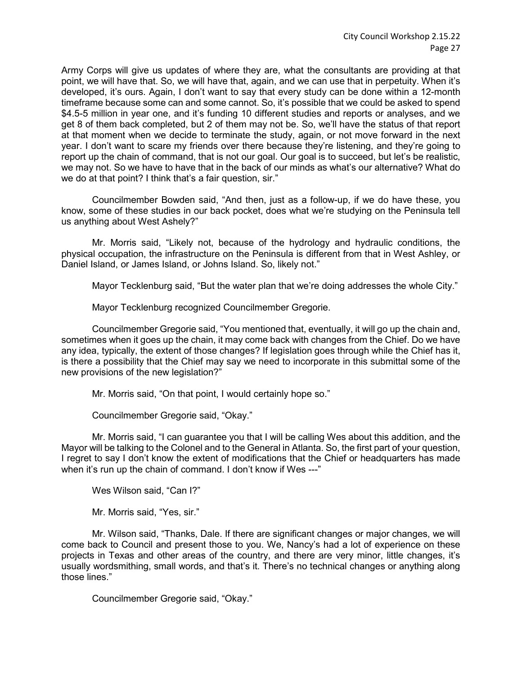Army Corps will give us updates of where they are, what the consultants are providing at that point, we will have that. So, we will have that, again, and we can use that in perpetuity. When it's developed, it's ours. Again, I don't want to say that every study can be done within a 12-month timeframe because some can and some cannot. So, it's possible that we could be asked to spend \$4.5-5 million in year one, and it's funding 10 different studies and reports or analyses, and we get 8 of them back completed, but 2 of them may not be. So, we'll have the status of that report at that moment when we decide to terminate the study, again, or not move forward in the next year. I don't want to scare my friends over there because they're listening, and they're going to report up the chain of command, that is not our goal. Our goal is to succeed, but let's be realistic, we may not. So we have to have that in the back of our minds as what's our alternative? What do we do at that point? I think that's a fair question, sir."

Councilmember Bowden said, "And then, just as a follow-up, if we do have these, you know, some of these studies in our back pocket, does what we're studying on the Peninsula tell us anything about West Ashely?"

Mr. Morris said, "Likely not, because of the hydrology and hydraulic conditions, the physical occupation, the infrastructure on the Peninsula is different from that in West Ashley, or Daniel Island, or James Island, or Johns Island. So, likely not."

Mayor Tecklenburg said, "But the water plan that we're doing addresses the whole City."

Mayor Tecklenburg recognized Councilmember Gregorie.

Councilmember Gregorie said, "You mentioned that, eventually, it will go up the chain and, sometimes when it goes up the chain, it may come back with changes from the Chief. Do we have any idea, typically, the extent of those changes? If legislation goes through while the Chief has it, is there a possibility that the Chief may say we need to incorporate in this submittal some of the new provisions of the new legislation?"

Mr. Morris said, "On that point, I would certainly hope so."

Councilmember Gregorie said, "Okay."

Mr. Morris said, "I can guarantee you that I will be calling Wes about this addition, and the Mayor will be talking to the Colonel and to the General in Atlanta. So, the first part of your question, I regret to say I don't know the extent of modifications that the Chief or headquarters has made when it's run up the chain of command. I don't know if Wes ---"

Wes Wilson said, "Can I?"

Mr. Morris said, "Yes, sir."

Mr. Wilson said, "Thanks, Dale. If there are significant changes or major changes, we will come back to Council and present those to you. We, Nancy's had a lot of experience on these projects in Texas and other areas of the country, and there are very minor, little changes, it's usually wordsmithing, small words, and that's it. There's no technical changes or anything along those lines."

Councilmember Gregorie said, "Okay."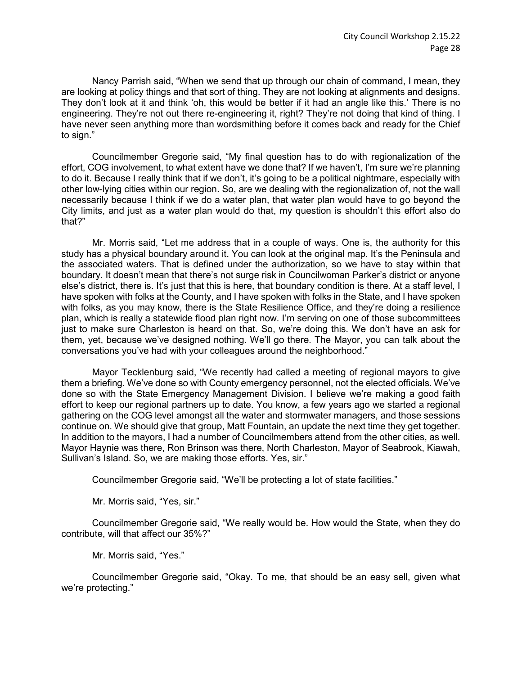Nancy Parrish said, "When we send that up through our chain of command, I mean, they are looking at policy things and that sort of thing. They are not looking at alignments and designs. They don't look at it and think 'oh, this would be better if it had an angle like this.' There is no engineering. They're not out there re-engineering it, right? They're not doing that kind of thing. I have never seen anything more than wordsmithing before it comes back and ready for the Chief to sign."

Councilmember Gregorie said, "My final question has to do with regionalization of the effort, COG involvement, to what extent have we done that? If we haven't, I'm sure we're planning to do it. Because I really think that if we don't, it's going to be a political nightmare, especially with other low-lying cities within our region. So, are we dealing with the regionalization of, not the wall necessarily because I think if we do a water plan, that water plan would have to go beyond the City limits, and just as a water plan would do that, my question is shouldn't this effort also do that?"

Mr. Morris said, "Let me address that in a couple of ways. One is, the authority for this study has a physical boundary around it. You can look at the original map. It's the Peninsula and the associated waters. That is defined under the authorization, so we have to stay within that boundary. It doesn't mean that there's not surge risk in Councilwoman Parker's district or anyone else's district, there is. It's just that this is here, that boundary condition is there. At a staff level, I have spoken with folks at the County, and I have spoken with folks in the State, and I have spoken with folks, as you may know, there is the State Resilience Office, and they're doing a resilience plan, which is really a statewide flood plan right now. I'm serving on one of those subcommittees just to make sure Charleston is heard on that. So, we're doing this. We don't have an ask for them, yet, because we've designed nothing. We'll go there. The Mayor, you can talk about the conversations you've had with your colleagues around the neighborhood."

Mayor Tecklenburg said, "We recently had called a meeting of regional mayors to give them a briefing. We've done so with County emergency personnel, not the elected officials. We've done so with the State Emergency Management Division. I believe we're making a good faith effort to keep our regional partners up to date. You know, a few years ago we started a regional gathering on the COG level amongst all the water and stormwater managers, and those sessions continue on. We should give that group, Matt Fountain, an update the next time they get together. In addition to the mayors, I had a number of Councilmembers attend from the other cities, as well. Mayor Haynie was there, Ron Brinson was there, North Charleston, Mayor of Seabrook, Kiawah, Sullivan's Island. So, we are making those efforts. Yes, sir."

Councilmember Gregorie said, "We'll be protecting a lot of state facilities."

Mr. Morris said, "Yes, sir."

Councilmember Gregorie said, "We really would be. How would the State, when they do contribute, will that affect our 35%?"

Mr. Morris said, "Yes."

Councilmember Gregorie said, "Okay. To me, that should be an easy sell, given what we're protecting."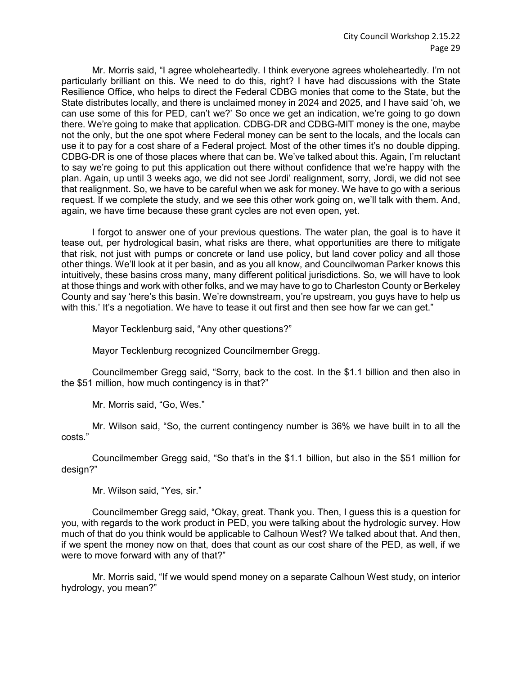Mr. Morris said, "I agree wholeheartedly. I think everyone agrees wholeheartedly. I'm not particularly brilliant on this. We need to do this, right? I have had discussions with the State Resilience Office, who helps to direct the Federal CDBG monies that come to the State, but the State distributes locally, and there is unclaimed money in 2024 and 2025, and I have said 'oh, we can use some of this for PED, can't we?' So once we get an indication, we're going to go down there. We're going to make that application. CDBG-DR and CDBG-MIT money is the one, maybe not the only, but the one spot where Federal money can be sent to the locals, and the locals can use it to pay for a cost share of a Federal project. Most of the other times it's no double dipping. CDBG-DR is one of those places where that can be. We've talked about this. Again, I'm reluctant to say we're going to put this application out there without confidence that we're happy with the plan. Again, up until 3 weeks ago, we did not see Jordi' realignment, sorry, Jordi, we did not see that realignment. So, we have to be careful when we ask for money. We have to go with a serious request. If we complete the study, and we see this other work going on, we'll talk with them. And, again, we have time because these grant cycles are not even open, yet.

I forgot to answer one of your previous questions. The water plan, the goal is to have it tease out, per hydrological basin, what risks are there, what opportunities are there to mitigate that risk, not just with pumps or concrete or land use policy, but land cover policy and all those other things. We'll look at it per basin, and as you all know, and Councilwoman Parker knows this intuitively, these basins cross many, many different political jurisdictions. So, we will have to look at those things and work with other folks, and we may have to go to Charleston County or Berkeley County and say 'here's this basin. We're downstream, you're upstream, you guys have to help us with this.' It's a negotiation. We have to tease it out first and then see how far we can get."

Mayor Tecklenburg said, "Any other questions?"

Mayor Tecklenburg recognized Councilmember Gregg.

Councilmember Gregg said, "Sorry, back to the cost. In the \$1.1 billion and then also in the \$51 million, how much contingency is in that?"

Mr. Morris said, "Go, Wes."

Mr. Wilson said, "So, the current contingency number is 36% we have built in to all the costs."

Councilmember Gregg said, "So that's in the \$1.1 billion, but also in the \$51 million for design?"

Mr. Wilson said, "Yes, sir."

Councilmember Gregg said, "Okay, great. Thank you. Then, I guess this is a question for you, with regards to the work product in PED, you were talking about the hydrologic survey. How much of that do you think would be applicable to Calhoun West? We talked about that. And then, if we spent the money now on that, does that count as our cost share of the PED, as well, if we were to move forward with any of that?"

Mr. Morris said, "If we would spend money on a separate Calhoun West study, on interior hydrology, you mean?"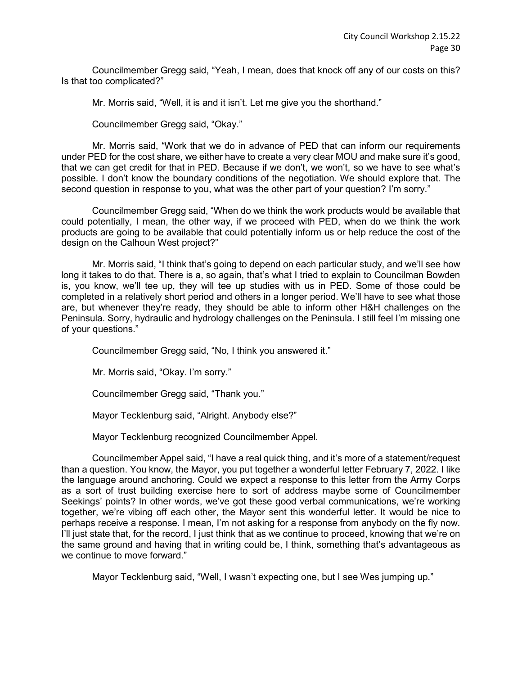Councilmember Gregg said, "Yeah, I mean, does that knock off any of our costs on this? Is that too complicated?"

Mr. Morris said, "Well, it is and it isn't. Let me give you the shorthand."

Councilmember Gregg said, "Okay."

Mr. Morris said, "Work that we do in advance of PED that can inform our requirements under PED for the cost share, we either have to create a very clear MOU and make sure it's good, that we can get credit for that in PED. Because if we don't, we won't, so we have to see what's possible. I don't know the boundary conditions of the negotiation. We should explore that. The second question in response to you, what was the other part of your question? I'm sorry."

Councilmember Gregg said, "When do we think the work products would be available that could potentially, I mean, the other way, if we proceed with PED, when do we think the work products are going to be available that could potentially inform us or help reduce the cost of the design on the Calhoun West project?"

Mr. Morris said, "I think that's going to depend on each particular study, and we'll see how long it takes to do that. There is a, so again, that's what I tried to explain to Councilman Bowden is, you know, we'll tee up, they will tee up studies with us in PED. Some of those could be completed in a relatively short period and others in a longer period. We'll have to see what those are, but whenever they're ready, they should be able to inform other H&H challenges on the Peninsula. Sorry, hydraulic and hydrology challenges on the Peninsula. I still feel I'm missing one of your questions."

Councilmember Gregg said, "No, I think you answered it."

Mr. Morris said, "Okay. I'm sorry."

Councilmember Gregg said, "Thank you."

Mayor Tecklenburg said, "Alright. Anybody else?"

Mayor Tecklenburg recognized Councilmember Appel.

Councilmember Appel said, "I have a real quick thing, and it's more of a statement/request than a question. You know, the Mayor, you put together a wonderful letter February 7, 2022. I like the language around anchoring. Could we expect a response to this letter from the Army Corps as a sort of trust building exercise here to sort of address maybe some of Councilmember Seekings' points? In other words, we've got these good verbal communications, we're working together, we're vibing off each other, the Mayor sent this wonderful letter. It would be nice to perhaps receive a response. I mean, I'm not asking for a response from anybody on the fly now. I'll just state that, for the record, I just think that as we continue to proceed, knowing that we're on the same ground and having that in writing could be, I think, something that's advantageous as we continue to move forward."

Mayor Tecklenburg said, "Well, I wasn't expecting one, but I see Wes jumping up."